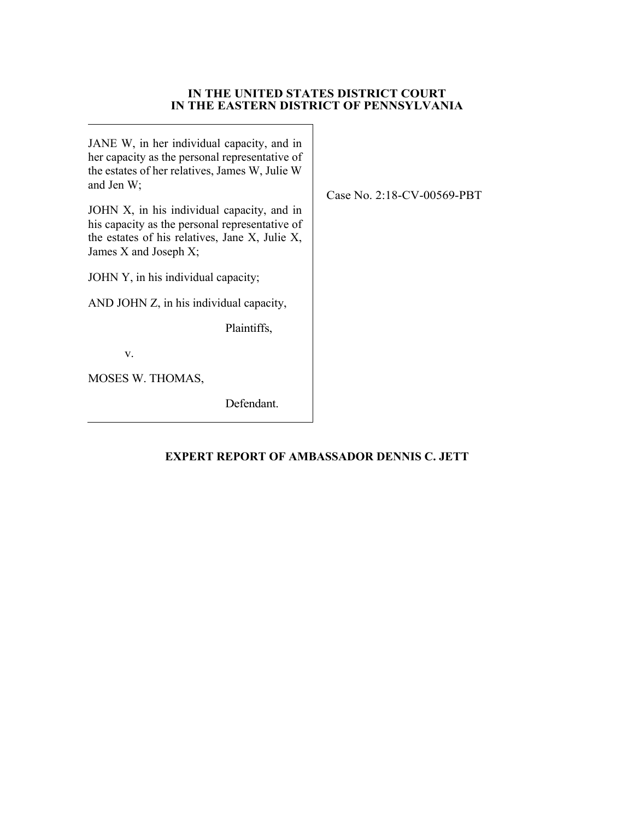## **IN THE UNITED STATES DISTRICT COURT IN THE EASTERN DISTRICT OF PENNSYLVANIA**

JANE W, in her individual capacity, and in her capacity as the personal representative of the estates of her relatives, James W, Julie W and Jen W;

JOHN X, in his individual capacity, and in his capacity as the personal representative of the estates of his relatives, Jane X, Julie X, James X and Joseph X;

JOHN Y, in his individual capacity;

AND JOHN Z, in his individual capacity,

Plaintiffs,

v.

MOSES W. THOMAS,

Defendant.

# **EXPERT REPORT OF AMBASSADOR DENNIS C. JETT**

Case No. 2:18-CV-00569-PBT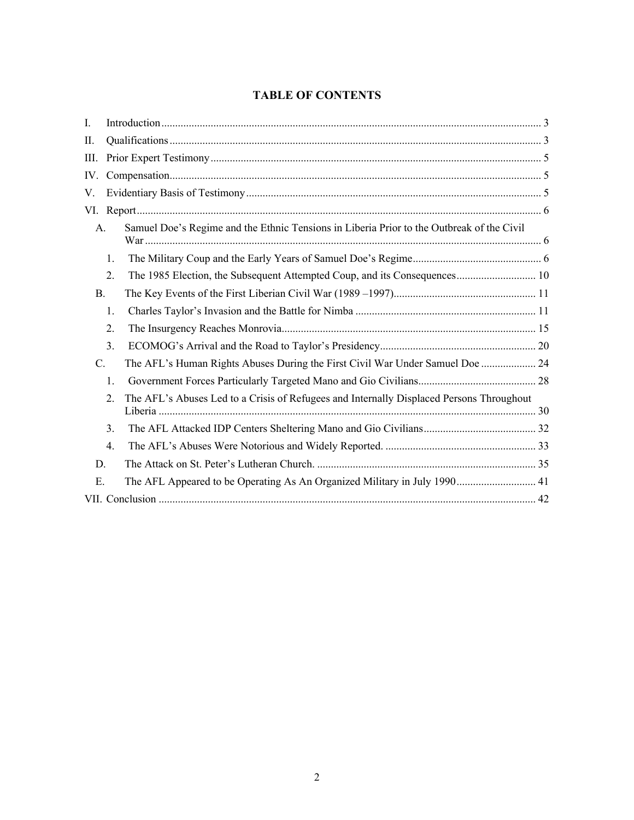# **TABLE OF CONTENTS**

| I.        |    |                                                                                           |  |  |
|-----------|----|-------------------------------------------------------------------------------------------|--|--|
| ΙΙ.       |    |                                                                                           |  |  |
| III.      |    |                                                                                           |  |  |
| IV.       |    |                                                                                           |  |  |
| V.        |    |                                                                                           |  |  |
| VI.       |    |                                                                                           |  |  |
| A.        |    | Samuel Doe's Regime and the Ethnic Tensions in Liberia Prior to the Outbreak of the Civil |  |  |
|           | 1. |                                                                                           |  |  |
|           | 2. | The 1985 Election, the Subsequent Attempted Coup, and its Consequences 10                 |  |  |
| <b>B.</b> |    |                                                                                           |  |  |
|           | 1. |                                                                                           |  |  |
|           | 2. |                                                                                           |  |  |
|           | 3. |                                                                                           |  |  |
| C.        |    | The AFL's Human Rights Abuses During the First Civil War Under Samuel Doe  24             |  |  |
|           | 1. |                                                                                           |  |  |
|           | 2. | The AFL's Abuses Led to a Crisis of Refugees and Internally Displaced Persons Throughout  |  |  |
|           | 3. |                                                                                           |  |  |
|           | 4. |                                                                                           |  |  |
| D.        |    |                                                                                           |  |  |
| Е.        |    | The AFL Appeared to be Operating As An Organized Military in July 1990 41                 |  |  |
|           |    |                                                                                           |  |  |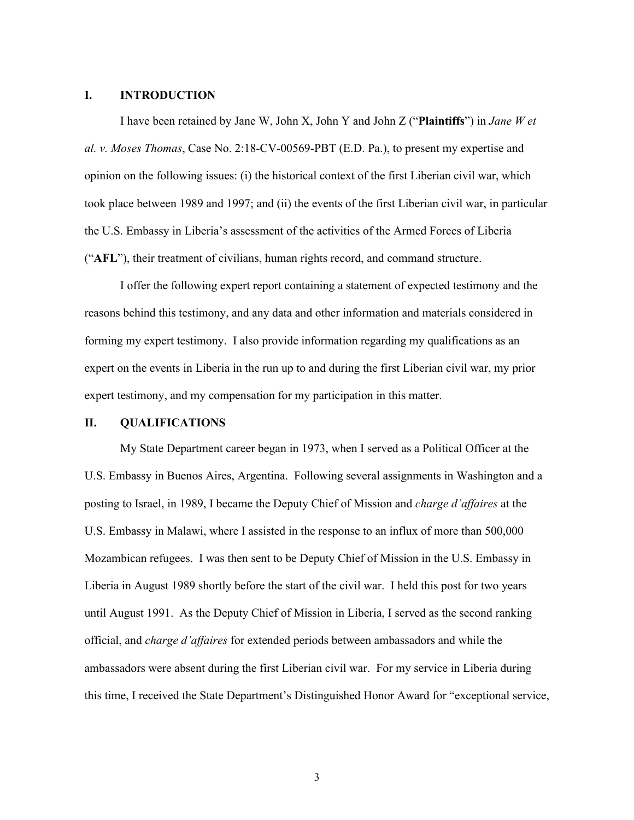#### **I. INTRODUCTION**

I have been retained by Jane W, John X, John Y and John Z ("**Plaintiffs**") in *Jane W et al. v. Moses Thomas*, Case No. 2:18-CV-00569-PBT (E.D. Pa.), to present my expertise and opinion on the following issues: (i) the historical context of the first Liberian civil war, which took place between 1989 and 1997; and (ii) the events of the first Liberian civil war, in particular the U.S. Embassy in Liberia's assessment of the activities of the Armed Forces of Liberia ("**AFL**"), their treatment of civilians, human rights record, and command structure.

I offer the following expert report containing a statement of expected testimony and the reasons behind this testimony, and any data and other information and materials considered in forming my expert testimony. I also provide information regarding my qualifications as an expert on the events in Liberia in the run up to and during the first Liberian civil war, my prior expert testimony, and my compensation for my participation in this matter.

## **II. QUALIFICATIONS**

My State Department career began in 1973, when I served as a Political Officer at the U.S. Embassy in Buenos Aires, Argentina. Following several assignments in Washington and a posting to Israel, in 1989, I became the Deputy Chief of Mission and *charge d'affaires* at the U.S. Embassy in Malawi, where I assisted in the response to an influx of more than 500,000 Mozambican refugees. I was then sent to be Deputy Chief of Mission in the U.S. Embassy in Liberia in August 1989 shortly before the start of the civil war. I held this post for two years until August 1991. As the Deputy Chief of Mission in Liberia, I served as the second ranking official, and *charge d'affaires* for extended periods between ambassadors and while the ambassadors were absent during the first Liberian civil war. For my service in Liberia during this time, I received the State Department's Distinguished Honor Award for "exceptional service,

3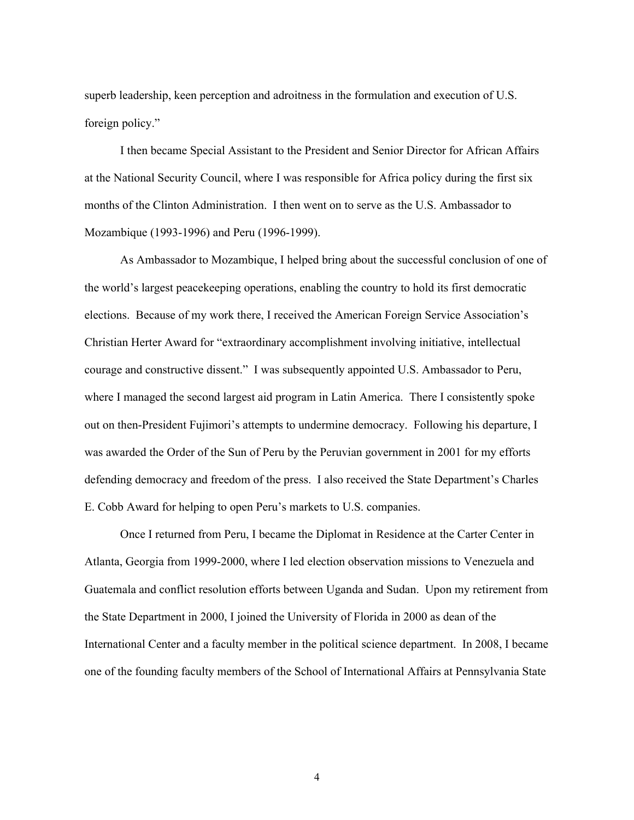superb leadership, keen perception and adroitness in the formulation and execution of U.S. foreign policy."

I then became Special Assistant to the President and Senior Director for African Affairs at the National Security Council, where I was responsible for Africa policy during the first six months of the Clinton Administration. I then went on to serve as the U.S. Ambassador to Mozambique (1993-1996) and Peru (1996-1999).

As Ambassador to Mozambique, I helped bring about the successful conclusion of one of the world's largest peacekeeping operations, enabling the country to hold its first democratic elections. Because of my work there, I received the American Foreign Service Association's Christian Herter Award for "extraordinary accomplishment involving initiative, intellectual courage and constructive dissent." I was subsequently appointed U.S. Ambassador to Peru, where I managed the second largest aid program in Latin America. There I consistently spoke out on then-President Fujimori's attempts to undermine democracy. Following his departure, I was awarded the Order of the Sun of Peru by the Peruvian government in 2001 for my efforts defending democracy and freedom of the press. I also received the State Department's Charles E. Cobb Award for helping to open Peru's markets to U.S. companies.

Once I returned from Peru, I became the Diplomat in Residence at the Carter Center in Atlanta, Georgia from 1999-2000, where I led election observation missions to Venezuela and Guatemala and conflict resolution efforts between Uganda and Sudan. Upon my retirement from the State Department in 2000, I joined the University of Florida in 2000 as dean of the International Center and a faculty member in the political science department. In 2008, I became one of the founding faculty members of the School of International Affairs at Pennsylvania State

4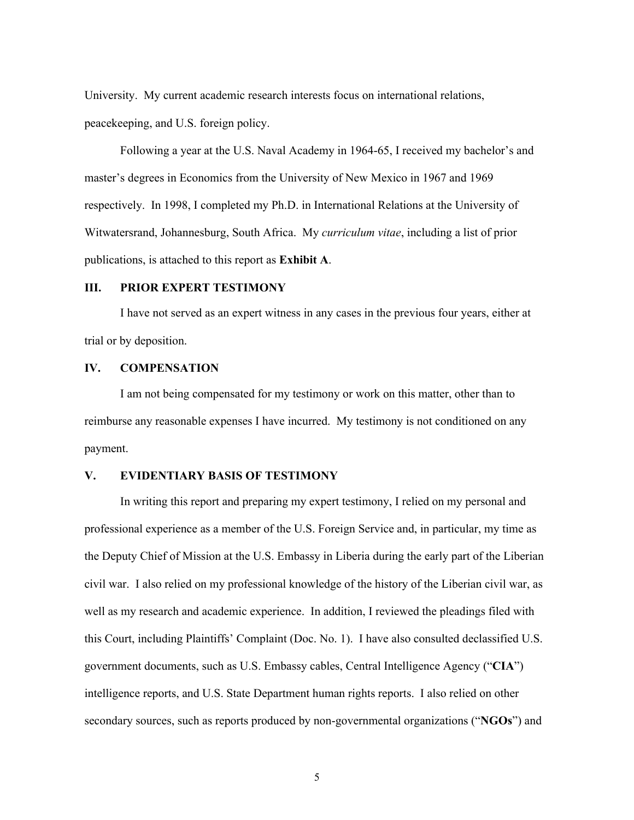University. My current academic research interests focus on international relations, peacekeeping, and U.S. foreign policy.

Following a year at the U.S. Naval Academy in 1964-65, I received my bachelor's and master's degrees in Economics from the University of New Mexico in 1967 and 1969 respectively. In 1998, I completed my Ph.D. in International Relations at the University of Witwatersrand, Johannesburg, South Africa. My *curriculum vitae*, including a list of prior publications, is attached to this report as **Exhibit A**.

## **III. PRIOR EXPERT TESTIMONY**

I have not served as an expert witness in any cases in the previous four years, either at trial or by deposition.

## **IV. COMPENSATION**

I am not being compensated for my testimony or work on this matter, other than to reimburse any reasonable expenses I have incurred. My testimony is not conditioned on any payment.

# **V. EVIDENTIARY BASIS OF TESTIMONY**

In writing this report and preparing my expert testimony, I relied on my personal and professional experience as a member of the U.S. Foreign Service and, in particular, my time as the Deputy Chief of Mission at the U.S. Embassy in Liberia during the early part of the Liberian civil war. I also relied on my professional knowledge of the history of the Liberian civil war, as well as my research and academic experience. In addition, I reviewed the pleadings filed with this Court, including Plaintiffs' Complaint (Doc. No. 1). I have also consulted declassified U.S. government documents, such as U.S. Embassy cables, Central Intelligence Agency ("**CIA**") intelligence reports, and U.S. State Department human rights reports. I also relied on other secondary sources, such as reports produced by non-governmental organizations ("**NGOs**") and

5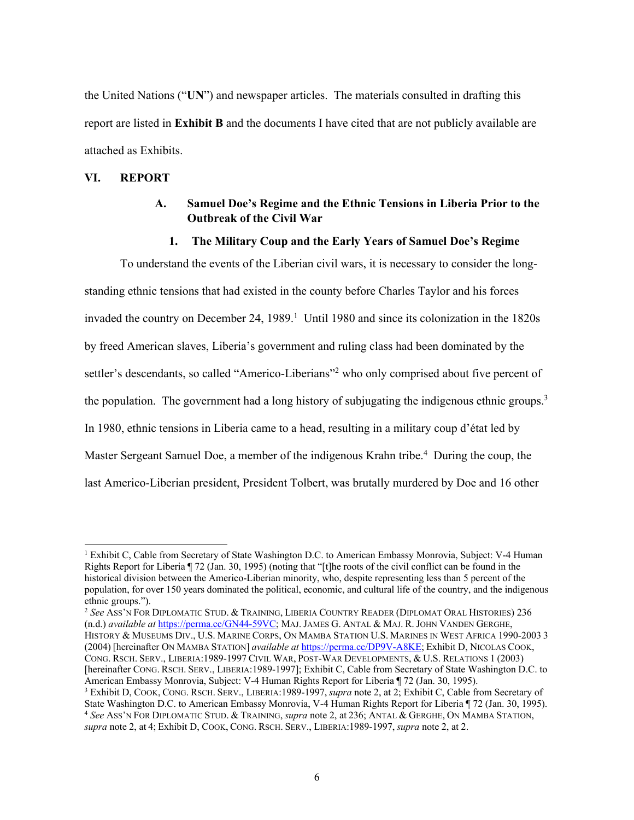the United Nations ("**UN**") and newspaper articles. The materials consulted in drafting this report are listed in **Exhibit B** and the documents I have cited that are not publicly available are attached as Exhibits.

## **VI. REPORT**

# **A. Samuel Doe's Regime and the Ethnic Tensions in Liberia Prior to the Outbreak of the Civil War**

### **1. The Military Coup and the Early Years of Samuel Doe's Regime**

To understand the events of the Liberian civil wars, it is necessary to consider the longstanding ethnic tensions that had existed in the county before Charles Taylor and his forces invaded the country on December 24, 1989.<sup>1</sup> Until 1980 and since its colonization in the 1820s by freed American slaves, Liberia's government and ruling class had been dominated by the settler's descendants, so called "Americo-Liberians"<sup>2</sup> who only comprised about five percent of the population. The government had a long history of subjugating the indigenous ethnic groups.<sup>3</sup> In 1980, ethnic tensions in Liberia came to a head, resulting in a military coup d'état led by Master Sergeant Samuel Doe, a member of the indigenous Krahn tribe.<sup>4</sup> During the coup, the last Americo-Liberian president, President Tolbert, was brutally murdered by Doe and 16 other

<sup>2</sup> *See* ASS'N FOR DIPLOMATIC STUD. & TRAINING, LIBERIA COUNTRY READER (DIPLOMAT ORAL HISTORIES) 236 (n.d.) *available at* https://perma.cc/GN44-59VC; MAJ. JAMES G. ANTAL & MAJ. R. JOHN VANDEN GERGHE, HISTORY & MUSEUMS DIV., U.S. MARINE CORPS, ON MAMBA STATION U.S. MARINES IN WEST AFRICA 1990-2003 3 (2004) [hereinafter ON MAMBA STATION] *available at* https://perma.cc/DP9V-A8KE; Exhibit D, NICOLAS COOK, CONG. RSCH. SERV., LIBERIA:1989-1997 CIVIL WAR, POST-WAR DEVELOPMENTS, & U.S. RELATIONS 1 (2003) [hereinafter CONG. RSCH. SERV., LIBERIA:1989-1997]; Exhibit C, Cable from Secretary of State Washington D.C. to American Embassy Monrovia, Subject: V-4 Human Rights Report for Liberia ¶ 72 (Jan. 30, 1995).

<sup>&</sup>lt;sup>1</sup> Exhibit C, Cable from Secretary of State Washington D.C. to American Embassy Monrovia, Subject: V-4 Human Rights Report for Liberia ¶ 72 (Jan. 30, 1995) (noting that "[t]he roots of the civil conflict can be found in the historical division between the Americo-Liberian minority, who, despite representing less than 5 percent of the population, for over 150 years dominated the political, economic, and cultural life of the country, and the indigenous ethnic groups.").

<sup>3</sup> Exhibit D, COOK, CONG. RSCH. SERV., LIBERIA:1989-1997, *supra* note 2, at 2; Exhibit C, Cable from Secretary of State Washington D.C. to American Embassy Monrovia, V-4 Human Rights Report for Liberia ¶ 72 (Jan. 30, 1995). <sup>4</sup> *See* ASS'N FOR DIPLOMATIC STUD. & TRAINING, *supra* note 2, at 236; ANTAL & GERGHE, ON MAMBA STATION, *supra* note 2, at 4; Exhibit D, COOK, CONG. RSCH. SERV., LIBERIA:1989-1997, *supra* note 2, at 2.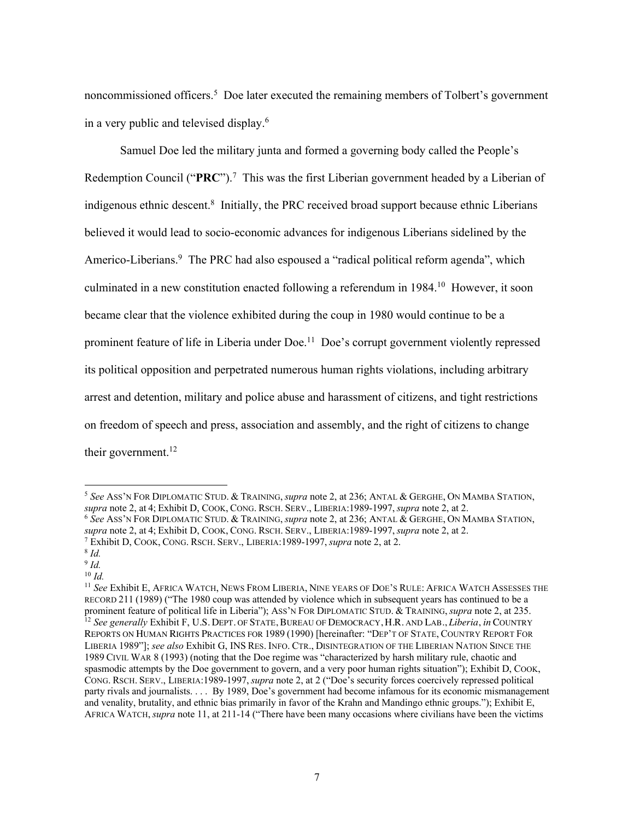noncommissioned officers. <sup>5</sup> Doe later executed the remaining members of Tolbert's government in a very public and televised display. 6

Samuel Doe led the military junta and formed a governing body called the People's Redemption Council ("**PRC**"). 7 This was the first Liberian government headed by a Liberian of indigenous ethnic descent.<sup>8</sup> Initially, the PRC received broad support because ethnic Liberians believed it would lead to socio-economic advances for indigenous Liberians sidelined by the Americo-Liberians.<sup>9</sup> The PRC had also espoused a "radical political reform agenda", which culminated in a new constitution enacted following a referendum in 1984.<sup>10</sup> However, it soon became clear that the violence exhibited during the coup in 1980 would continue to be a prominent feature of life in Liberia under Doe.<sup>11</sup> Doe's corrupt government violently repressed its political opposition and perpetrated numerous human rights violations, including arbitrary arrest and detention, military and police abuse and harassment of citizens, and tight restrictions on freedom of speech and press, association and assembly, and the right of citizens to change their government. $12$ 

<sup>5</sup> *See* ASS'N FOR DIPLOMATIC STUD. & TRAINING, *supra* note 2, at 236; ANTAL & GERGHE, ON MAMBA STATION, *supra* note 2, at 4; Exhibit D, COOK, CONG. RSCH. SERV., LIBERIA:1989-1997, *supra* note 2, at 2.

<sup>6</sup> *See* ASS'N FOR DIPLOMATIC STUD. & TRAINING, *supra* note 2, at 236; ANTAL & GERGHE, ON MAMBA STATION, *supra* note 2, at 4; Exhibit D, COOK, CONG. RSCH. SERV., LIBERIA:1989-1997, *supra* note 2, at 2.

<sup>7</sup> Exhibit D, COOK, CONG. RSCH. SERV., LIBERIA:1989-1997, *supra* note 2, at 2.

<sup>8</sup> *Id.*

<sup>9</sup> *Id.*

<sup>10</sup> *Id.* 

<sup>11</sup> *See* Exhibit E, AFRICA WATCH, NEWS FROM LIBERIA, NINE YEARS OF DOE'S RULE: AFRICA WATCH ASSESSES THE RECORD 211 (1989) ("The 1980 coup was attended by violence which in subsequent years has continued to be a prominent feature of political life in Liberia"); ASS'N FOR DIPLOMATIC STUD. & TRAINING, *supra* note 2, at 235. <sup>12</sup> *See generally* Exhibit F, U.S. DEPT. OF STATE, BUREAU OF DEMOCRACY, H.R. AND LAB., *Liberia*, *in* COUNTRY REPORTS ON HUMAN RIGHTS PRACTICES FOR 1989 (1990) [hereinafter: "DEP'T OF STATE, COUNTRY REPORT FOR LIBERIA 1989"]; *see also* Exhibit G, INS RES. INFO. CTR., DISINTEGRATION OF THE LIBERIAN NATION SINCE THE 1989 CIVIL WAR 8 (1993) (noting that the Doe regime was "characterized by harsh military rule, chaotic and spasmodic attempts by the Doe government to govern, and a very poor human rights situation"); Exhibit D, COOK, CONG. RSCH. SERV., LIBERIA:1989-1997, *supra* note 2, at 2 ("Doe's security forces coercively repressed political party rivals and journalists. . . . By 1989, Doe's government had become infamous for its economic mismanagement and venality, brutality, and ethnic bias primarily in favor of the Krahn and Mandingo ethnic groups."); Exhibit E, AFRICA WATCH, *supra* note 11, at 211-14 ("There have been many occasions where civilians have been the victims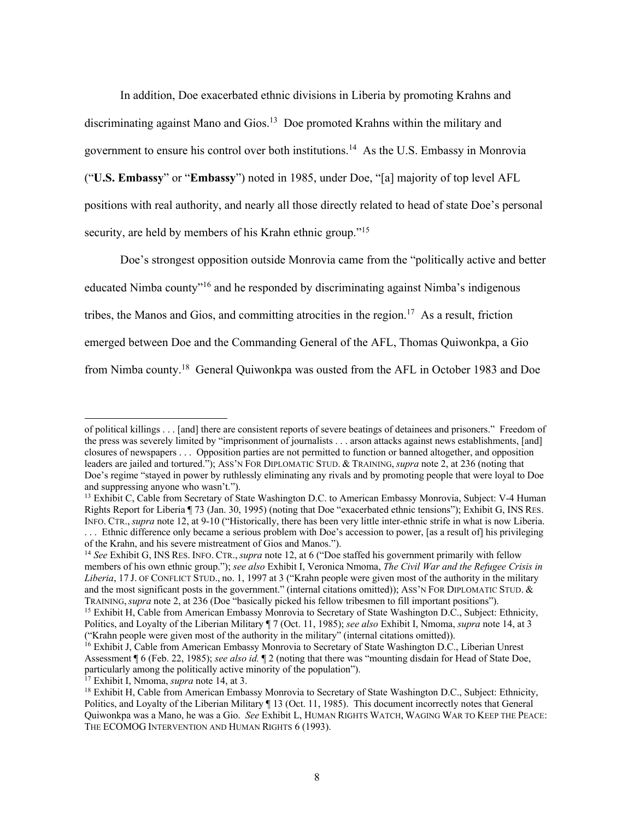In addition, Doe exacerbated ethnic divisions in Liberia by promoting Krahns and discriminating against Mano and Gios. <sup>13</sup> Doe promoted Krahns within the military and government to ensure his control over both institutions. <sup>14</sup> As the U.S. Embassy in Monrovia ("**U.S. Embassy**" or "**Embassy**") noted in 1985, under Doe, "[a] majority of top level AFL positions with real authority, and nearly all those directly related to head of state Doe's personal security, are held by members of his Krahn ethnic group."<sup>15</sup>

Doe's strongest opposition outside Monrovia came from the "politically active and better educated Nimba county<sup>"16</sup> and he responded by discriminating against Nimba's indigenous tribes, the Manos and Gios, and committing atrocities in the region.<sup>17</sup> As a result, friction emerged between Doe and the Commanding General of the AFL, Thomas Quiwonkpa, a Gio from Nimba county.<sup>18</sup> General Quiwonkpa was ousted from the AFL in October 1983 and Doe

<sup>17</sup> Exhibit I, Nmoma, *supra* note 14, at 3.

of political killings . . . [and] there are consistent reports of severe beatings of detainees and prisoners." Freedom of the press was severely limited by "imprisonment of journalists . . . arson attacks against news establishments, [and] closures of newspapers . . . Opposition parties are not permitted to function or banned altogether, and opposition leaders are jailed and tortured."); ASS'N FOR DIPLOMATIC STUD. & TRAINING, *supra* note 2, at 236 (noting that Doe's regime "stayed in power by ruthlessly eliminating any rivals and by promoting people that were loyal to Doe and suppressing anyone who wasn't.").

<sup>&</sup>lt;sup>13</sup> Exhibit C, Cable from Secretary of State Washington D.C. to American Embassy Monrovia, Subject: V-4 Human Rights Report for Liberia ¶ 73 (Jan. 30, 1995) (noting that Doe "exacerbated ethnic tensions"); Exhibit G, INS RES. INFO. CTR., *supra* note 12, at 9-10 ("Historically, there has been very little inter-ethnic strife in what is now Liberia. . . . Ethnic difference only became a serious problem with Doe's accession to power, [as a result of] his privileging of the Krahn, and his severe mistreatment of Gios and Manos.").

<sup>14</sup> *See* Exhibit G, INS RES. INFO. CTR., *supra* note 12, at 6 ("Doe staffed his government primarily with fellow members of his own ethnic group."); *see also* Exhibit I, Veronica Nmoma, *The Civil War and the Refugee Crisis in Liberia*, 17 J. OF CONFLICT STUD., no. 1, 1997 at 3 ("Krahn people were given most of the authority in the military and the most significant posts in the government." (internal citations omitted)); ASS'N FOR DIPLOMATIC STUD. & TRAINING, *supra* note 2, at 236 (Doe "basically picked his fellow tribesmen to fill important positions").

<sup>15</sup> Exhibit H, Cable from American Embassy Monrovia to Secretary of State Washington D.C., Subject: Ethnicity, Politics, and Loyalty of the Liberian Military ¶ 7 (Oct. 11, 1985); *see also* Exhibit I, Nmoma, *supra* note 14, at 3 ("Krahn people were given most of the authority in the military" (internal citations omitted)).

<sup>&</sup>lt;sup>16</sup> Exhibit J, Cable from American Embassy Monrovia to Secretary of State Washington D.C., Liberian Unrest Assessment ¶ 6 (Feb. 22, 1985); *see also id.* ¶ 2 (noting that there was "mounting disdain for Head of State Doe, particularly among the politically active minority of the population").

<sup>&</sup>lt;sup>18</sup> Exhibit H, Cable from American Embassy Monrovia to Secretary of State Washington D.C., Subject: Ethnicity, Politics, and Loyalty of the Liberian Military ¶ 13 (Oct. 11, 1985). This document incorrectly notes that General Quiwonkpa was a Mano, he was a Gio. *See* Exhibit L, HUMAN RIGHTS WATCH, WAGING WAR TO KEEP THE PEACE: THE ECOMOG INTERVENTION AND HUMAN RIGHTS 6 (1993).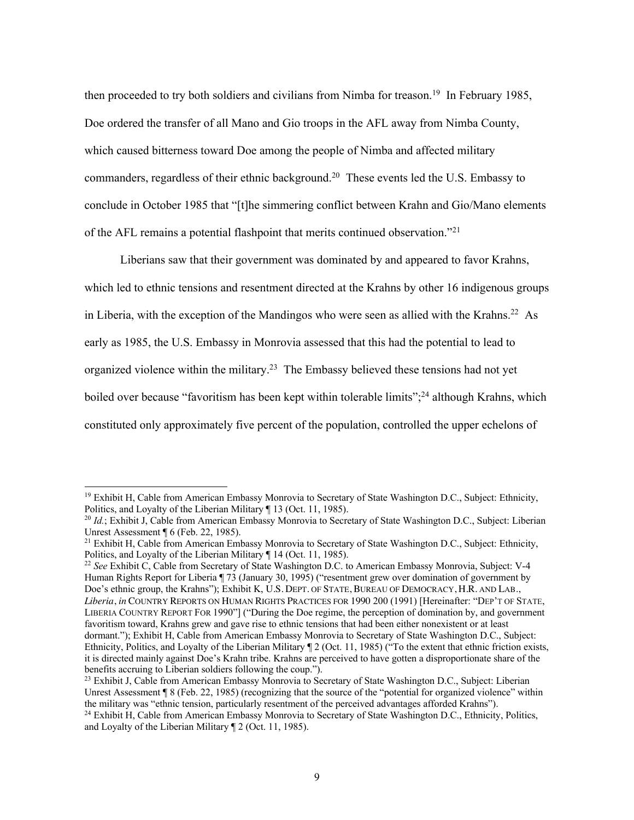then proceeded to try both soldiers and civilians from Nimba for treason.<sup>19</sup> In February 1985, Doe ordered the transfer of all Mano and Gio troops in the AFL away from Nimba County, which caused bitterness toward Doe among the people of Nimba and affected military commanders, regardless of their ethnic background. <sup>20</sup> These events led the U.S. Embassy to conclude in October 1985 that "[t]he simmering conflict between Krahn and Gio/Mano elements of the AFL remains a potential flashpoint that merits continued observation."<sup>21</sup>

Liberians saw that their government was dominated by and appeared to favor Krahns, which led to ethnic tensions and resentment directed at the Krahns by other 16 indigenous groups in Liberia, with the exception of the Mandingos who were seen as allied with the Krahns.<sup>22</sup> As early as 1985, the U.S. Embassy in Monrovia assessed that this had the potential to lead to organized violence within the military.<sup>23</sup> The Embassy believed these tensions had not yet boiled over because "favoritism has been kept within tolerable limits";<sup>24</sup> although Krahns, which constituted only approximately five percent of the population, controlled the upper echelons of

<sup>22</sup> *See* Exhibit C, Cable from Secretary of State Washington D.C. to American Embassy Monrovia, Subject: V-4 Human Rights Report for Liberia ¶ 73 (January 30, 1995) ("resentment grew over domination of government by Doe's ethnic group, the Krahns"); Exhibit K, U.S. DEPT. OF STATE, BUREAU OF DEMOCRACY, H.R. AND LAB., *Liberia*, *in* COUNTRY REPORTS ON HUMAN RIGHTS PRACTICES FOR 1990 200 (1991) [Hereinafter: "DEP'T OF STATE, LIBERIA COUNTRY REPORT FOR 1990"] ("During the Doe regime, the perception of domination by, and government favoritism toward, Krahns grew and gave rise to ethnic tensions that had been either nonexistent or at least dormant."); Exhibit H, Cable from American Embassy Monrovia to Secretary of State Washington D.C., Subject: Ethnicity, Politics, and Loyalty of the Liberian Military ¶ 2 (Oct. 11, 1985) ("To the extent that ethnic friction exists, it is directed mainly against Doe's Krahn tribe. Krahns are perceived to have gotten a disproportionate share of the benefits accruing to Liberian soldiers following the coup.").

<sup>&</sup>lt;sup>19</sup> Exhibit H, Cable from American Embassy Monrovia to Secretary of State Washington D.C., Subject: Ethnicity, Politics, and Loyalty of the Liberian Military ¶ 13 (Oct. 11, 1985).

<sup>&</sup>lt;sup>20</sup> *Id.*; Exhibit J, Cable from American Embassy Monrovia to Secretary of State Washington D.C., Subject: Liberian Unrest Assessment ¶ 6 (Feb. 22, 1985).

<sup>&</sup>lt;sup>21</sup> Exhibit H, Cable from American Embassy Monrovia to Secretary of State Washington D.C., Subject: Ethnicity, Politics, and Loyalty of the Liberian Military ¶ 14 (Oct. 11, 1985).

<sup>&</sup>lt;sup>23</sup> Exhibit J, Cable from American Embassy Monrovia to Secretary of State Washington D.C., Subject: Liberian Unrest Assessment ¶ 8 (Feb. 22, 1985) (recognizing that the source of the "potential for organized violence" within the military was "ethnic tension, particularly resentment of the perceived advantages afforded Krahns").

<sup>&</sup>lt;sup>24</sup> Exhibit H, Cable from American Embassy Monrovia to Secretary of State Washington D.C., Ethnicity, Politics, and Loyalty of the Liberian Military ¶ 2 (Oct. 11, 1985).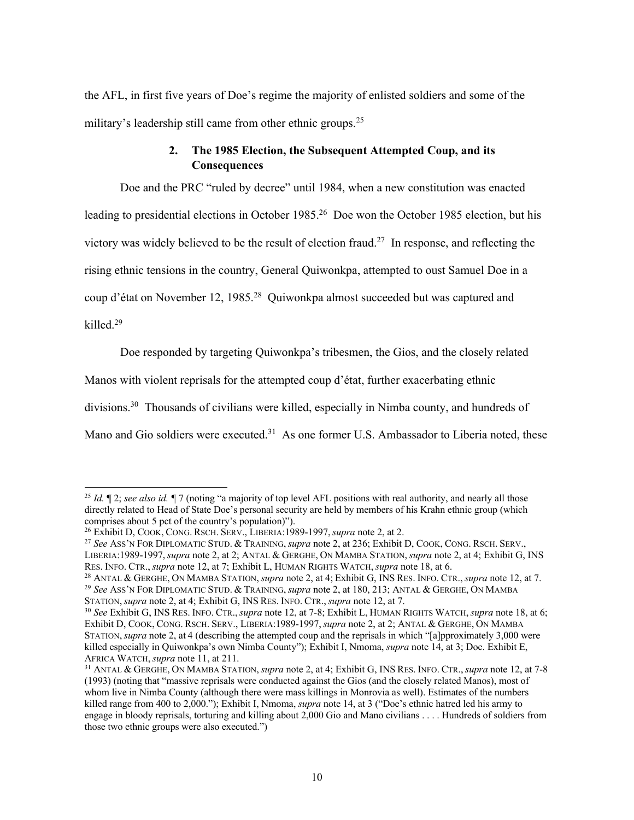the AFL, in first five years of Doe's regime the majority of enlisted soldiers and some of the military's leadership still came from other ethnic groups.<sup>25</sup>

# **2. The 1985 Election, the Subsequent Attempted Coup, and its Consequences**

Doe and the PRC "ruled by decree" until 1984, when a new constitution was enacted leading to presidential elections in October 1985.<sup>26</sup> Doe won the October 1985 election, but his victory was widely believed to be the result of election fraud.<sup>27</sup> In response, and reflecting the rising ethnic tensions in the country, General Quiwonkpa, attempted to oust Samuel Doe in a coup d'état on November 12, 1985.<sup>28</sup> Quiwonkpa almost succeeded but was captured and killed.<sup>29</sup>

Doe responded by targeting Quiwonkpa's tribesmen, the Gios, and the closely related

Manos with violent reprisals for the attempted coup d'état, further exacerbating ethnic

divisions.<sup>30</sup> Thousands of civilians were killed, especially in Nimba county, and hundreds of

Mano and Gio soldiers were executed.<sup>31</sup> As one former U.S. Ambassador to Liberia noted, these

STATION, *supra* note 2, at 4; Exhibit G, INS RES. INFO. CTR., *supra* note 12, at 7.

<sup>&</sup>lt;sup>25</sup> *Id.*  $\llbracket$  2; *see also id.*  $\llbracket$  7 (noting "a majority of top level AFL positions with real authority, and nearly all those directly related to Head of State Doe's personal security are held by members of his Krahn ethnic group (which comprises about 5 pct of the country's population)").

<sup>26</sup> Exhibit D, COOK, CONG. RSCH. SERV., LIBERIA:1989-1997, *supra* note 2, at 2.

<sup>27</sup> *See* ASS'N FOR DIPLOMATIC STUD. & TRAINING, *supra* note 2, at 236; Exhibit D, COOK, CONG. RSCH. SERV., LIBERIA:1989-1997, *supra* note 2, at 2; ANTAL & GERGHE, ON MAMBA STATION, *supra* note 2, at 4; Exhibit G, INS RES. INFO. CTR., *supra* note 12, at 7; Exhibit L, HUMAN RIGHTS WATCH, *supra* note 18, at 6.

<sup>28</sup> ANTAL & GERGHE, ON MAMBA STATION, *supra* note 2, at 4; Exhibit G, INS RES. INFO. CTR., *supra* note 12, at 7. <sup>29</sup> *See* ASS'N FOR DIPLOMATIC STUD. & TRAINING, *supra* note 2, at 180, 213; ANTAL & GERGHE, ON MAMBA

<sup>30</sup> *See* Exhibit G, INS RES. INFO. CTR., *supra* note 12, at 7-8; Exhibit L, HUMAN RIGHTS WATCH, *supra* note 18, at 6; Exhibit D, COOK, CONG. RSCH. SERV., LIBERIA:1989-1997, *supra* note 2, at 2; ANTAL & GERGHE, ON MAMBA STATION, *supra* note 2, at 4 (describing the attempted coup and the reprisals in which "[a]pproximately 3,000 were killed especially in Quiwonkpa's own Nimba County"); Exhibit I, Nmoma, *supra* note 14, at 3; Doc. Exhibit E, AFRICA WATCH, *supra* note 11, at 211.

<sup>31</sup> ANTAL & GERGHE, ON MAMBA STATION, *supra* note 2, at 4; Exhibit G, INS RES. INFO. CTR., *supra* note 12, at 7-8 (1993) (noting that "massive reprisals were conducted against the Gios (and the closely related Manos), most of whom live in Nimba County (although there were mass killings in Monrovia as well). Estimates of the numbers killed range from 400 to 2,000."); Exhibit I, Nmoma, *supra* note 14, at 3 ("Doe's ethnic hatred led his army to engage in bloody reprisals, torturing and killing about 2,000 Gio and Mano civilians . . . . Hundreds of soldiers from those two ethnic groups were also executed.")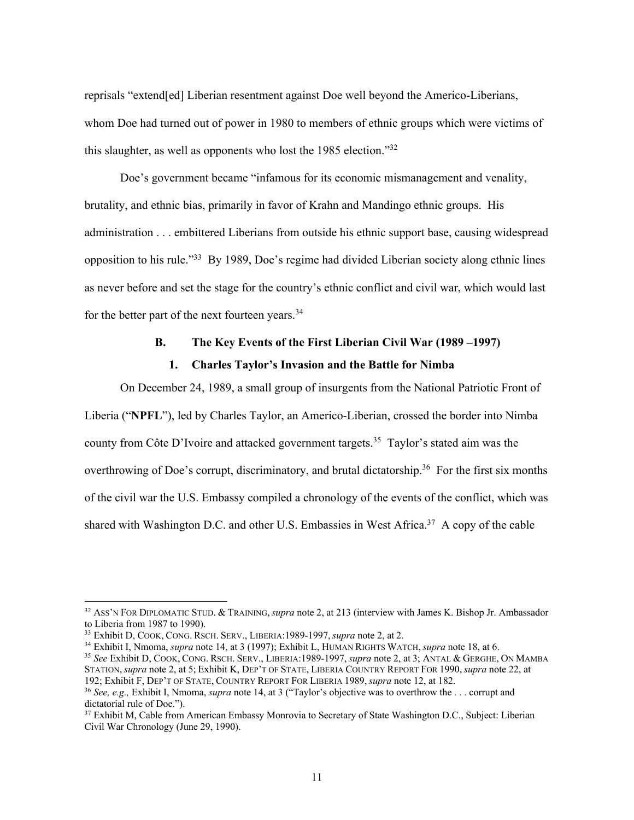reprisals "extend[ed] Liberian resentment against Doe well beyond the Americo-Liberians, whom Doe had turned out of power in 1980 to members of ethnic groups which were victims of this slaughter, as well as opponents who lost the 1985 election."<sup>32</sup>

Doe's government became "infamous for its economic mismanagement and venality, brutality, and ethnic bias, primarily in favor of Krahn and Mandingo ethnic groups. His administration . . . embittered Liberians from outside his ethnic support base, causing widespread opposition to his rule."<sup>33</sup> By 1989, Doe's regime had divided Liberian society along ethnic lines as never before and set the stage for the country's ethnic conflict and civil war, which would last for the better part of the next fourteen years.<sup>34</sup>

# **B. The Key Events of the First Liberian Civil War (1989 –1997) 1. Charles Taylor's Invasion and the Battle for Nimba**

On December 24, 1989, a small group of insurgents from the National Patriotic Front of Liberia ("**NPFL**"), led by Charles Taylor, an Americo-Liberian, crossed the border into Nimba county from Côte D'Ivoire and attacked government targets. <sup>35</sup> Taylor's stated aim was the overthrowing of Doe's corrupt, discriminatory, and brutal dictatorship.<sup>36</sup> For the first six months of the civil war the U.S. Embassy compiled a chronology of the events of the conflict, which was shared with Washington D.C. and other U.S. Embassies in West Africa.<sup>37</sup> A copy of the cable

<sup>35</sup> *See* Exhibit D, COOK, CONG. RSCH. SERV., LIBERIA:1989-1997, *supra* note 2, at 3; ANTAL & GERGHE, ON MAMBA STATION, *supra* note 2, at 5; Exhibit K, DEP'T OF STATE, LIBERIA COUNTRY REPORT FOR 1990, *supra* note 22, at 192; Exhibit F, DEP'T OF STATE, COUNTRY REPORT FOR LIBERIA 1989, *supra* note 12, at 182.

<sup>32</sup> ASS'N FOR DIPLOMATIC STUD. & TRAINING, *supra* note 2, at 213 (interview with James K. Bishop Jr. Ambassador to Liberia from 1987 to 1990).

<sup>33</sup> Exhibit D, COOK, CONG. RSCH. SERV., LIBERIA:1989-1997, *supra* note 2, at 2.

<sup>34</sup> Exhibit I, Nmoma, *supra* note 14, at 3 (1997); Exhibit L, HUMAN RIGHTS WATCH, *supra* note 18, at 6.

<sup>36</sup> *See, e.g.,* Exhibit I, Nmoma, *supra* note 14, at 3 ("Taylor's objective was to overthrow the . . . corrupt and dictatorial rule of Doe.").

<sup>&</sup>lt;sup>37</sup> Exhibit M, Cable from American Embassy Monrovia to Secretary of State Washington D.C., Subject: Liberian Civil War Chronology (June 29, 1990).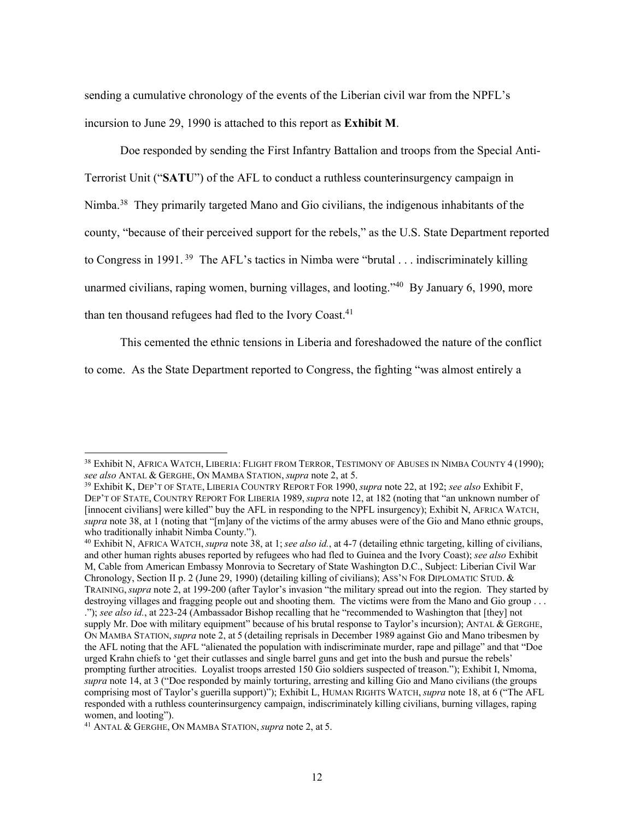sending a cumulative chronology of the events of the Liberian civil war from the NPFL's incursion to June 29, 1990 is attached to this report as **Exhibit M**.

Doe responded by sending the First Infantry Battalion and troops from the Special Anti-Terrorist Unit ("**SATU**") of the AFL to conduct a ruthless counterinsurgency campaign in Nimba.<sup>38</sup> They primarily targeted Mano and Gio civilians, the indigenous inhabitants of the county, "because of their perceived support for the rebels," as the U.S. State Department reported to Congress in 1991.<sup>39</sup> The AFL's tactics in Nimba were "brutal  $\ldots$  indiscriminately killing unarmed civilians, raping women, burning villages, and looting.<sup> $40$ </sup> By January 6, 1990, more than ten thousand refugees had fled to the Ivory Coast.<sup>41</sup>

This cemented the ethnic tensions in Liberia and foreshadowed the nature of the conflict

to come. As the State Department reported to Congress, the fighting "was almost entirely a

<sup>&</sup>lt;sup>38</sup> Exhibit N, Africa Watch, Liberia: Flight from Terror, Testimony of Abuses in Nimba County 4 (1990); *see also* ANTAL & GERGHE, ON MAMBA STATION, *supra* note 2, at 5.

<sup>39</sup> Exhibit K, DEP'T OF STATE, LIBERIA COUNTRY REPORT FOR 1990, *supra* note 22, at 192; *see also* Exhibit F, DEP'T OF STATE, COUNTRY REPORT FOR LIBERIA 1989, *supra* note 12, at 182 (noting that "an unknown number of [innocent civilians] were killed" buy the AFL in responding to the NPFL insurgency); Exhibit N, AFRICA WATCH, *supra* note 38, at 1 (noting that "[m]any of the victims of the army abuses were of the Gio and Mano ethnic groups, who traditionally inhabit Nimba County.").

<sup>40</sup> Exhibit N, AFRICA WATCH, *supra* note 38, at 1; *see also id.*, at 4-7 (detailing ethnic targeting, killing of civilians, and other human rights abuses reported by refugees who had fled to Guinea and the Ivory Coast); *see also* Exhibit M, Cable from American Embassy Monrovia to Secretary of State Washington D.C., Subject: Liberian Civil War Chronology, Section II p. 2 (June 29, 1990) (detailing killing of civilians); ASS'N FOR DIPLOMATIC STUD. & TRAINING, *supra* note 2, at 199-200 (after Taylor's invasion "the military spread out into the region. They started by destroying villages and fragging people out and shooting them. The victims were from the Mano and Gio group ... ."); *see also id.*, at 223-24 (Ambassador Bishop recalling that he "recommended to Washington that [they] not supply Mr. Doe with military equipment" because of his brutal response to Taylor's incursion); ANTAL & GERGHE, ON MAMBA STATION, *supra* note 2, at 5 (detailing reprisals in December 1989 against Gio and Mano tribesmen by the AFL noting that the AFL "alienated the population with indiscriminate murder, rape and pillage" and that "Doe urged Krahn chiefs to 'get their cutlasses and single barrel guns and get into the bush and pursue the rebels' prompting further atrocities. Loyalist troops arrested 150 Gio soldiers suspected of treason."); Exhibit I, Nmoma, *supra* note 14, at 3 ("Doe responded by mainly torturing, arresting and killing Gio and Mano civilians (the groups comprising most of Taylor's guerilla support)"); Exhibit L, HUMAN RIGHTS WATCH, *supra* note 18, at 6 ("The AFL responded with a ruthless counterinsurgency campaign, indiscriminately killing civilians, burning villages, raping women, and looting").

<sup>41</sup> ANTAL & GERGHE, ON MAMBA STATION, *supra* note 2, at 5.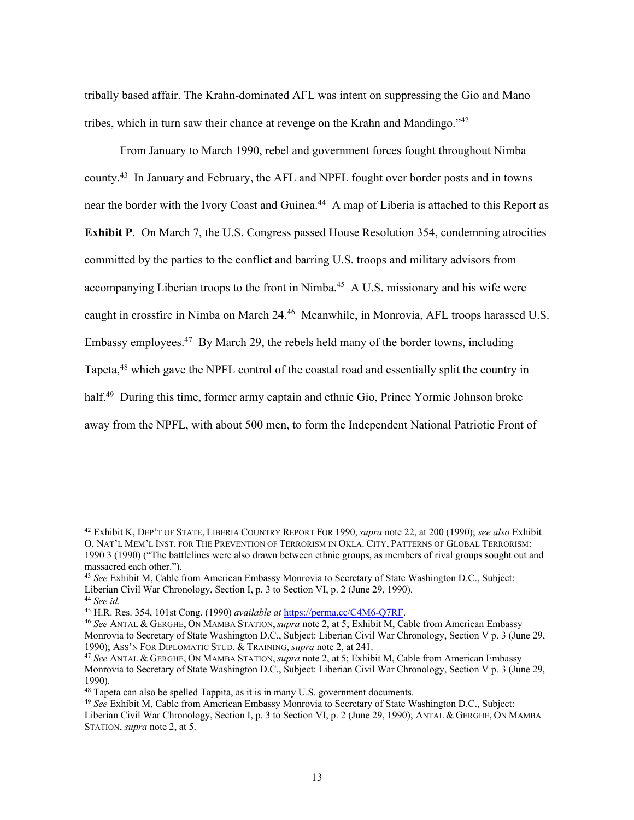tribally based affair. The Krahn-dominated AFL was intent on suppressing the Gio and Mano tribes, which in turn saw their chance at revenge on the Krahn and Mandingo.<sup> $42$ </sup>

From January to March 1990, rebel and government forces fought throughout Nimba county. <sup>43</sup> In January and February, the AFL and NPFL fought over border posts and in towns near the border with the Ivory Coast and Guinea.<sup>44</sup> A map of Liberia is attached to this Report as **Exhibit P**. On March 7, the U.S. Congress passed House Resolution 354, condemning atrocities committed by the parties to the conflict and barring U.S. troops and military advisors from accompanying Liberian troops to the front in Nimba.<sup>45</sup> A U.S. missionary and his wife were caught in crossfire in Nimba on March 24. <sup>46</sup> Meanwhile, in Monrovia, AFL troops harassed U.S. Embassy employees.<sup>47</sup> By March 29, the rebels held many of the border towns, including Tapeta,<sup>48</sup> which gave the NPFL control of the coastal road and essentially split the country in half.<sup>49</sup> During this time, former army captain and ethnic Gio, Prince Yormie Johnson broke away from the NPFL, with about 500 men, to form the Independent National Patriotic Front of

<sup>42</sup> Exhibit K, DEP'T OF STATE, LIBERIA COUNTRY REPORT FOR 1990, *supra* note 22, at 200 (1990); *see also* Exhibit O, NAT'L MEM'L INST. FOR THE PREVENTION OF TERRORISM IN OKLA. CITY, PATTERNS OF GLOBAL TERRORISM: 1990 3 (1990) ("The battlelines were also drawn between ethnic groups, as members of rival groups sought out and massacred each other.").

<sup>43</sup> *See* Exhibit M, Cable from American Embassy Monrovia to Secretary of State Washington D.C., Subject: Liberian Civil War Chronology, Section I, p. 3 to Section VI, p. 2 (June 29, 1990). <sup>44</sup> *See id.* 

<sup>45</sup> H.R. Res. 354, 101st Cong. (1990) *available at* https://perma.cc/C4M6-Q7RF.

<sup>46</sup> *See* ANTAL & GERGHE, ON MAMBA STATION, *supra* note 2, at 5; Exhibit M, Cable from American Embassy Monrovia to Secretary of State Washington D.C., Subject: Liberian Civil War Chronology, Section V p. 3 (June 29, 1990); ASS'N FOR DIPLOMATIC STUD. & TRAINING, *supra* note 2, at 241.

<sup>47</sup> *See* ANTAL & GERGHE, ON MAMBA STATION, *supra* note 2, at 5; Exhibit M, Cable from American Embassy Monrovia to Secretary of State Washington D.C., Subject: Liberian Civil War Chronology, Section V p. 3 (June 29, 1990).

 $48$  Tapeta can also be spelled Tappita, as it is in many U.S. government documents.

<sup>49</sup> *See* Exhibit M, Cable from American Embassy Monrovia to Secretary of State Washington D.C., Subject: Liberian Civil War Chronology, Section I, p. 3 to Section VI, p. 2 (June 29, 1990); ANTAL & GERGHE, ON MAMBA STATION, *supra* note 2, at 5.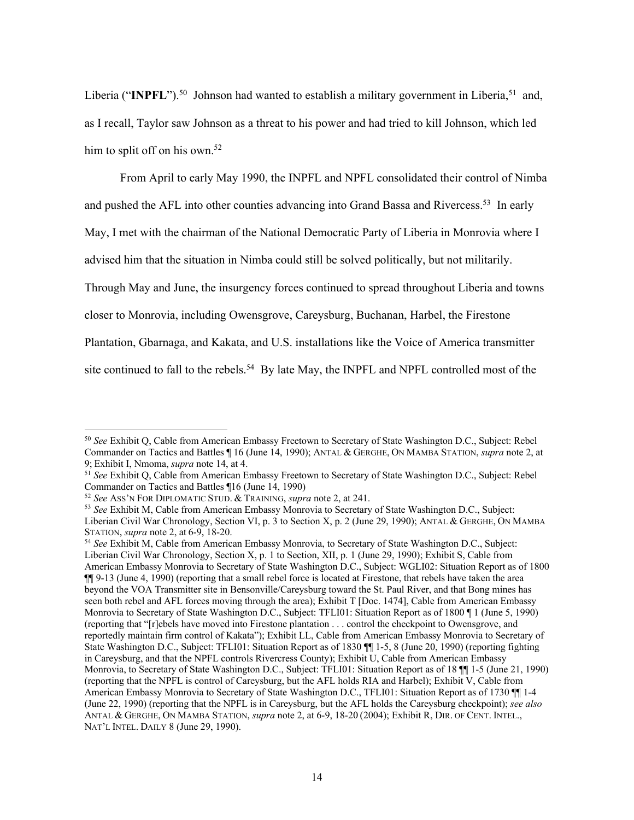Liberia ("INPFL").<sup>50</sup> Johnson had wanted to establish a military government in Liberia,<sup>51</sup> and, as I recall, Taylor saw Johnson as a threat to his power and had tried to kill Johnson, which led him to split off on his own.<sup>52</sup>

From April to early May 1990, the INPFL and NPFL consolidated their control of Nimba and pushed the AFL into other counties advancing into Grand Bassa and Rivercess.<sup>53</sup> In early May, I met with the chairman of the National Democratic Party of Liberia in Monrovia where I advised him that the situation in Nimba could still be solved politically, but not militarily. Through May and June, the insurgency forces continued to spread throughout Liberia and towns closer to Monrovia, including Owensgrove, Careysburg, Buchanan, Harbel, the Firestone Plantation, Gbarnaga, and Kakata, and U.S. installations like the Voice of America transmitter site continued to fall to the rebels.<sup>54</sup> By late May, the INPFL and NPFL controlled most of the

<sup>50</sup> *See* Exhibit Q, Cable from American Embassy Freetown to Secretary of State Washington D.C., Subject: Rebel Commander on Tactics and Battles ¶ 16 (June 14, 1990); ANTAL & GERGHE, ON MAMBA STATION, *supra* note 2, at 9; Exhibit I, Nmoma, *supra* note 14, at 4.

<sup>51</sup> *See* Exhibit Q, Cable from American Embassy Freetown to Secretary of State Washington D.C., Subject: Rebel Commander on Tactics and Battles ¶16 (June 14, 1990)

<sup>52</sup> *See* ASS'N FOR DIPLOMATIC STUD. & TRAINING, *supra* note 2, at 241.

<sup>53</sup> *See* Exhibit M, Cable from American Embassy Monrovia to Secretary of State Washington D.C., Subject: Liberian Civil War Chronology, Section VI, p. 3 to Section X, p. 2 (June 29, 1990); ANTAL & GERGHE, ON MAMBA STATION, *supra* note 2, at 6-9, 18-20.

<sup>54</sup> *See* Exhibit M, Cable from American Embassy Monrovia, to Secretary of State Washington D.C., Subject: Liberian Civil War Chronology, Section X, p. 1 to Section, XII, p. 1 (June 29, 1990); Exhibit S, Cable from American Embassy Monrovia to Secretary of State Washington D.C., Subject: WGLI02: Situation Report as of 1800 ¶¶ 9-13 (June 4, 1990) (reporting that a small rebel force is located at Firestone, that rebels have taken the area beyond the VOA Transmitter site in Bensonville/Careysburg toward the St. Paul River, and that Bong mines has seen both rebel and AFL forces moving through the area); Exhibit T [Doc. 1474], Cable from American Embassy Monrovia to Secretary of State Washington D.C., Subject: TFLI01: Situation Report as of 1800 ¶ 1 (June 5, 1990) (reporting that "[r]ebels have moved into Firestone plantation . . . control the checkpoint to Owensgrove, and reportedly maintain firm control of Kakata"); Exhibit LL, Cable from American Embassy Monrovia to Secretary of State Washington D.C., Subject: TFLI01: Situation Report as of 1830 ¶¶ 1-5, 8 (June 20, 1990) (reporting fighting in Careysburg, and that the NPFL controls Rivercress County); Exhibit U, Cable from American Embassy Monrovia, to Secretary of State Washington D.C., Subject: TFLI01: Situation Report as of 18 ¶¶ 1-5 (June 21, 1990) (reporting that the NPFL is control of Careysburg, but the AFL holds RIA and Harbel); Exhibit V, Cable from American Embassy Monrovia to Secretary of State Washington D.C., TFLI01: Situation Report as of 1730 ¶ 1-4 (June 22, 1990) (reporting that the NPFL is in Careysburg, but the AFL holds the Careysburg checkpoint); *see also*  ANTAL & GERGHE, ON MAMBA STATION, *supra* note 2, at 6-9, 18-20 (2004); Exhibit R, DIR. OF CENT. INTEL., NAT'L INTEL. DAILY 8 (June 29, 1990).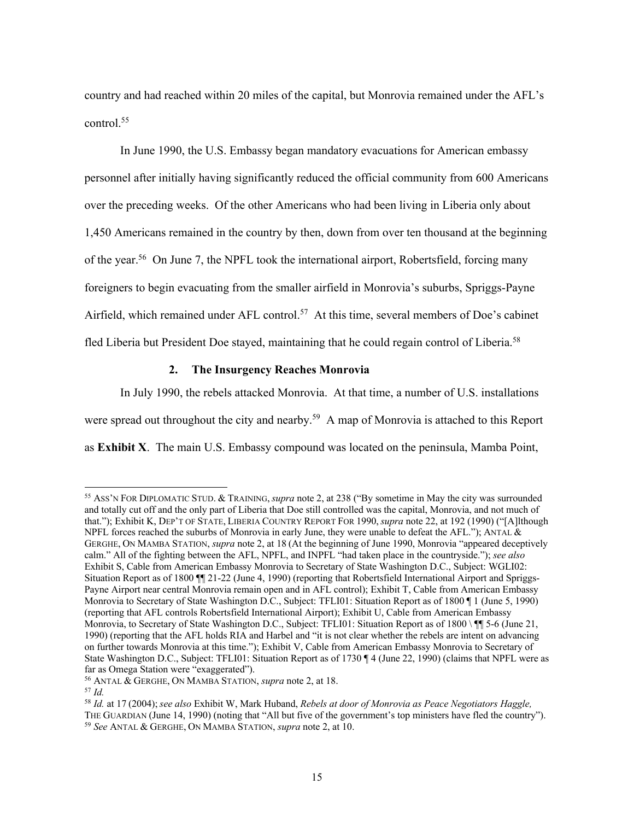country and had reached within 20 miles of the capital, but Monrovia remained under the AFL's control. 55

In June 1990, the U.S. Embassy began mandatory evacuations for American embassy personnel after initially having significantly reduced the official community from 600 Americans over the preceding weeks. Of the other Americans who had been living in Liberia only about 1,450 Americans remained in the country by then, down from over ten thousand at the beginning of the year.<sup>56</sup> On June 7, the NPFL took the international airport, Robertsfield, forcing many foreigners to begin evacuating from the smaller airfield in Monrovia's suburbs, Spriggs-Payne Airfield, which remained under AFL control. <sup>57</sup> At this time, several members of Doe's cabinet fled Liberia but President Doe stayed, maintaining that he could regain control of Liberia.<sup>58</sup>

## **2. The Insurgency Reaches Monrovia**

In July 1990, the rebels attacked Monrovia. At that time, a number of U.S. installations were spread out throughout the city and nearby.<sup>59</sup> A map of Monrovia is attached to this Report as **Exhibit X**. The main U.S. Embassy compound was located on the peninsula, Mamba Point,

<sup>57</sup> *Id.*

<sup>55</sup> ASS'N FOR DIPLOMATIC STUD. & TRAINING, *supra* note 2, at 238 ("By sometime in May the city was surrounded and totally cut off and the only part of Liberia that Doe still controlled was the capital, Monrovia, and not much of that."); Exhibit K, DEP'T OF STATE, LIBERIA COUNTRY REPORT FOR 1990, *supra* note 22, at 192 (1990) ("[A]lthough NPFL forces reached the suburbs of Monrovia in early June, they were unable to defeat the AFL."); ANTAL  $\&$ GERGHE, ON MAMBA STATION, *supra* note 2, at 18 (At the beginning of June 1990, Monrovia "appeared deceptively calm." All of the fighting between the AFL, NPFL, and INPFL "had taken place in the countryside."); *see also*  Exhibit S, Cable from American Embassy Monrovia to Secretary of State Washington D.C., Subject: WGLI02: Situation Report as of 1800  $\parallel$  21-22 (June 4, 1990) (reporting that Robertsfield International Airport and Spriggs-Payne Airport near central Monrovia remain open and in AFL control); Exhibit T, Cable from American Embassy Monrovia to Secretary of State Washington D.C., Subject: TFLI01: Situation Report as of 1800 ¶ 1 (June 5, 1990) (reporting that AFL controls Robertsfield International Airport); Exhibit U, Cable from American Embassy Monrovia, to Secretary of State Washington D.C., Subject: TFLI01: Situation Report as of 1800 \ [[ 5-6 (June 21, 1990) (reporting that the AFL holds RIA and Harbel and "it is not clear whether the rebels are intent on advancing on further towards Monrovia at this time."); Exhibit V, Cable from American Embassy Monrovia to Secretary of State Washington D.C., Subject: TFLI01: Situation Report as of 1730 ¶ 4 (June 22, 1990) (claims that NPFL were as far as Omega Station were "exaggerated").

<sup>56</sup> ANTAL & GERGHE, ON MAMBA STATION, *supra* note 2, at 18.

<sup>58</sup> *Id.* at 17 (2004); *see also* Exhibit W, Mark Huband, *Rebels at door of Monrovia as Peace Negotiators Haggle,*  THE GUARDIAN (June 14, 1990) (noting that "All but five of the government's top ministers have fled the country"). <sup>59</sup> *See* ANTAL & GERGHE, ON MAMBA STATION, *supra* note 2, at 10.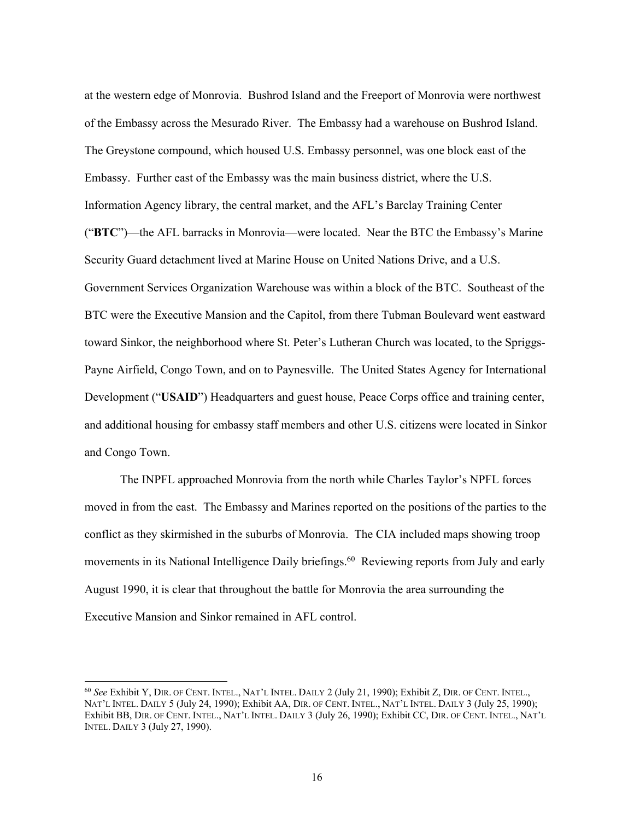at the western edge of Monrovia. Bushrod Island and the Freeport of Monrovia were northwest of the Embassy across the Mesurado River. The Embassy had a warehouse on Bushrod Island. The Greystone compound, which housed U.S. Embassy personnel, was one block east of the Embassy. Further east of the Embassy was the main business district, where the U.S. Information Agency library, the central market, and the AFL's Barclay Training Center ("**BTC**")—the AFL barracks in Monrovia—were located. Near the BTC the Embassy's Marine Security Guard detachment lived at Marine House on United Nations Drive, and a U.S. Government Services Organization Warehouse was within a block of the BTC. Southeast of the BTC were the Executive Mansion and the Capitol, from there Tubman Boulevard went eastward toward Sinkor, the neighborhood where St. Peter's Lutheran Church was located, to the Spriggs-Payne Airfield, Congo Town, and on to Paynesville. The United States Agency for International Development ("**USAID**") Headquarters and guest house, Peace Corps office and training center, and additional housing for embassy staff members and other U.S. citizens were located in Sinkor and Congo Town.

The INPFL approached Monrovia from the north while Charles Taylor's NPFL forces moved in from the east. The Embassy and Marines reported on the positions of the parties to the conflict as they skirmished in the suburbs of Monrovia. The CIA included maps showing troop movements in its National Intelligence Daily briefings.<sup>60</sup> Reviewing reports from July and early August 1990, it is clear that throughout the battle for Monrovia the area surrounding the Executive Mansion and Sinkor remained in AFL control.

<sup>60</sup> *See* Exhibit Y, DIR. OF CENT. INTEL., NAT'L INTEL. DAILY 2 (July 21, 1990); Exhibit Z, DIR. OF CENT. INTEL., NAT'L INTEL. DAILY 5 (July 24, 1990); Exhibit AA, DIR. OF CENT. INTEL., NAT'L INTEL. DAILY 3 (July 25, 1990); Exhibit BB, DIR. OF CENT. INTEL., NAT'L INTEL. DAILY 3 (July 26, 1990); Exhibit CC, DIR. OF CENT. INTEL., NAT'L INTEL. DAILY 3 (July 27, 1990).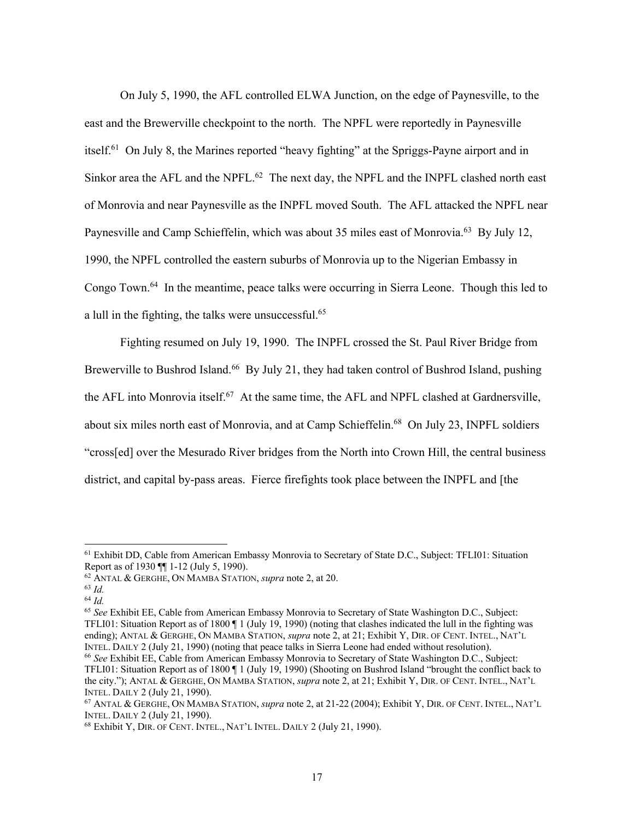On July 5, 1990, the AFL controlled ELWA Junction, on the edge of Paynesville, to the east and the Brewerville checkpoint to the north. The NPFL were reportedly in Paynesville itself.<sup>61</sup> On July 8, the Marines reported "heavy fighting" at the Spriggs-Payne airport and in Sinkor area the AFL and the NPFL.<sup>62</sup> The next day, the NPFL and the INPFL clashed north east of Monrovia and near Paynesville as the INPFL moved South. The AFL attacked the NPFL near Paynesville and Camp Schieffelin, which was about 35 miles east of Monrovia.<sup>63</sup> By July 12, 1990, the NPFL controlled the eastern suburbs of Monrovia up to the Nigerian Embassy in Congo Town. <sup>64</sup> In the meantime, peace talks were occurring in Sierra Leone. Though this led to a lull in the fighting, the talks were unsuccessful.<sup>65</sup>

Fighting resumed on July 19, 1990. The INPFL crossed the St. Paul River Bridge from Brewerville to Bushrod Island.<sup>66</sup> By July 21, they had taken control of Bushrod Island, pushing the AFL into Monrovia itself.<sup>67</sup> At the same time, the AFL and NPFL clashed at Gardnersville, about six miles north east of Monrovia, and at Camp Schieffelin.<sup>68</sup> On July 23, INPFL soldiers "cross[ed] over the Mesurado River bridges from the North into Crown Hill, the central business district, and capital by-pass areas. Fierce firefights took place between the INPFL and [the

<sup>&</sup>lt;sup>61</sup> Exhibit DD, Cable from American Embassy Monrovia to Secretary of State D.C., Subject: TFLI01: Situation Report as of 1930 ¶¶ 1-12 (July 5, 1990).

<sup>62</sup> ANTAL & GERGHE, ON MAMBA STATION, *supra* note 2, at 20.

<sup>63</sup> *Id.*

<sup>64</sup> *Id.*

<sup>65</sup> *See* Exhibit EE, Cable from American Embassy Monrovia to Secretary of State Washington D.C., Subject: TFLI01: Situation Report as of 1800 ¶ 1 (July 19, 1990) (noting that clashes indicated the lull in the fighting was ending); ANTAL & GERGHE, ON MAMBA STATION, *supra* note 2, at 21; Exhibit Y, DIR. OF CENT. INTEL., NAT'L INTEL. DAILY 2 (July 21, 1990) (noting that peace talks in Sierra Leone had ended without resolution).

<sup>66</sup> *See* Exhibit EE, Cable from American Embassy Monrovia to Secretary of State Washington D.C., Subject: TFLI01: Situation Report as of 1800 ¶ 1 (July 19, 1990) (Shooting on Bushrod Island "brought the conflict back to the city."); ANTAL & GERGHE, ON MAMBA STATION, *supra* note 2, at 21; Exhibit Y, DIR. OF CENT. INTEL., NAT'L INTEL. DAILY 2 (July 21, 1990).

<sup>67</sup> ANTAL & GERGHE, ON MAMBA STATION, *supra* note 2, at 21-22 (2004); Exhibit Y, DIR. OF CENT. INTEL., NAT'L INTEL. DAILY 2 (July 21, 1990).

<sup>68</sup> Exhibit Y, DIR. OF CENT. INTEL., NAT'L INTEL. DAILY 2 (July 21, 1990).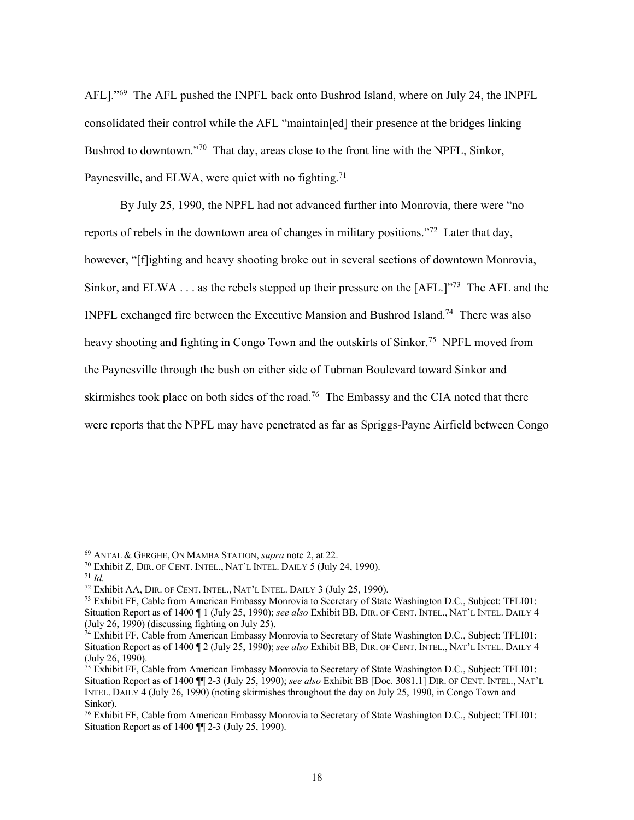AFL]."<sup>69</sup> The AFL pushed the INPFL back onto Bushrod Island, where on July 24, the INPFL consolidated their control while the AFL "maintain[ed] their presence at the bridges linking Bushrod to downtown."<sup>70</sup> That day, areas close to the front line with the NPFL, Sinkor, Paynesville, and ELWA, were quiet with no fighting.<sup>71</sup>

By July 25, 1990, the NPFL had not advanced further into Monrovia, there were "no reports of rebels in the downtown area of changes in military positions.<sup> $272$ </sup> Later that day, however, "[f]ighting and heavy shooting broke out in several sections of downtown Monrovia, Sinkor, and ELWA . . . as the rebels stepped up their pressure on the  $[AFL!]^{\gamma^{73}}$  The AFL and the INPFL exchanged fire between the Executive Mansion and Bushrod Island.<sup>74</sup> There was also heavy shooting and fighting in Congo Town and the outskirts of Sinkor.<sup>75</sup> NPFL moved from the Paynesville through the bush on either side of Tubman Boulevard toward Sinkor and skirmishes took place on both sides of the road.<sup>76</sup> The Embassy and the CIA noted that there were reports that the NPFL may have penetrated as far as Spriggs-Payne Airfield between Congo

<sup>69</sup> ANTAL & GERGHE, ON MAMBA STATION, *supra* note 2, at 22.

<sup>70</sup> Exhibit Z, DIR. OF CENT. INTEL., NAT'L INTEL. DAILY 5 (July 24, 1990).

<sup>71</sup> *Id.*

<sup>&</sup>lt;sup>72</sup> Exhibit AA, DIR. OF CENT. INTEL., NAT'L INTEL. DAILY 3 (July 25, 1990).

<sup>73</sup> Exhibit FF, Cable from American Embassy Monrovia to Secretary of State Washington D.C., Subject: TFLI01: Situation Report as of 1400 ¶ 1 (July 25, 1990); *see also* Exhibit BB, DIR. OF CENT. INTEL., NAT'L INTEL. DAILY 4 (July 26, 1990) (discussing fighting on July 25).

<sup>74</sup> Exhibit FF, Cable from American Embassy Monrovia to Secretary of State Washington D.C., Subject: TFLI01: Situation Report as of 1400 ¶ 2 (July 25, 1990); *see also* Exhibit BB, DIR. OF CENT. INTEL., NAT'L INTEL. DAILY 4 (July 26, 1990).

<sup>75</sup> Exhibit FF, Cable from American Embassy Monrovia to Secretary of State Washington D.C., Subject: TFLI01: Situation Report as of 1400 ¶¶ 2-3 (July 25, 1990); *see also* Exhibit BB [Doc. 3081.1] DIR. OF CENT. INTEL., NAT'L INTEL. DAILY 4 (July 26, 1990) (noting skirmishes throughout the day on July 25, 1990, in Congo Town and Sinkor).

<sup>76</sup> Exhibit FF, Cable from American Embassy Monrovia to Secretary of State Washington D.C., Subject: TFLI01: Situation Report as of 1400 ¶¶ 2-3 (July 25, 1990).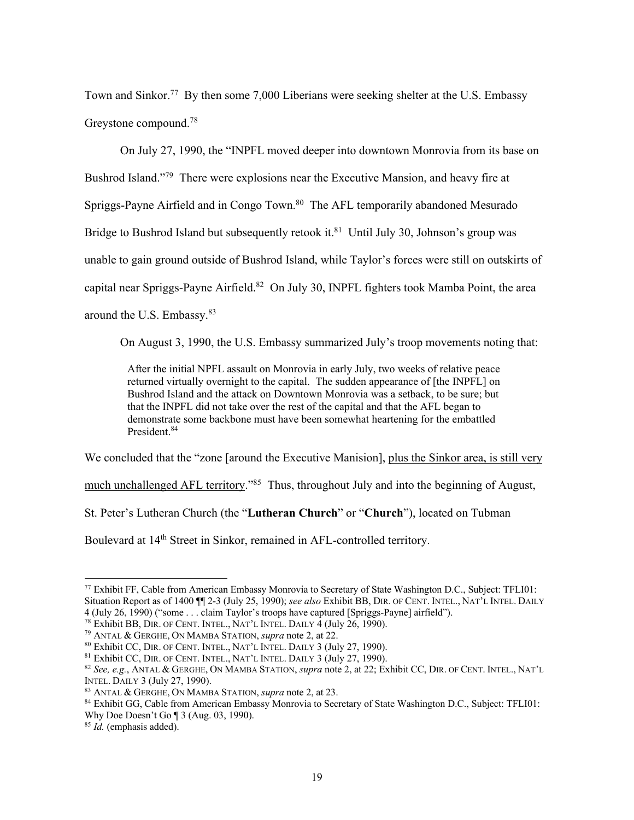Town and Sinkor.<sup>77</sup> By then some 7,000 Liberians were seeking shelter at the U.S. Embassy Greystone compound.<sup>78</sup>

On July 27, 1990, the "INPFL moved deeper into downtown Monrovia from its base on Bushrod Island."<sup>79</sup> There were explosions near the Executive Mansion, and heavy fire at Spriggs-Payne Airfield and in Congo Town.<sup>80</sup> The AFL temporarily abandoned Mesurado Bridge to Bushrod Island but subsequently retook it.<sup>81</sup> Until July 30, Johnson's group was unable to gain ground outside of Bushrod Island, while Taylor's forces were still on outskirts of capital near Spriggs-Payne Airfield.<sup>82</sup> On July 30, INPFL fighters took Mamba Point, the area around the U.S. Embassy.<sup>83</sup>

On August 3, 1990, the U.S. Embassy summarized July's troop movements noting that:

After the initial NPFL assault on Monrovia in early July, two weeks of relative peace returned virtually overnight to the capital. The sudden appearance of [the INPFL] on Bushrod Island and the attack on Downtown Monrovia was a setback, to be sure; but that the INPFL did not take over the rest of the capital and that the AFL began to demonstrate some backbone must have been somewhat heartening for the embattled President.<sup>84</sup>

We concluded that the "zone [around the Executive Manision], plus the Sinkor area, is still very

much unchallenged AFL territory."<sup>85</sup> Thus, throughout July and into the beginning of August,

St. Peter's Lutheran Church (the "**Lutheran Church**" or "**Church**"), located on Tubman

Boulevard at 14<sup>th</sup> Street in Sinkor, remained in AFL-controlled territory.

<sup>77</sup> Exhibit FF, Cable from American Embassy Monrovia to Secretary of State Washington D.C., Subject: TFLI01: Situation Report as of 1400 ¶¶ 2-3 (July 25, 1990); *see also* Exhibit BB, DIR. OF CENT. INTEL., NAT'L INTEL. DAILY 4 (July 26, 1990) ("some . . . claim Taylor's troops have captured [Spriggs-Payne] airfield").

 $^{78}$  Exhibit BB, DIR. OF CENT. INTEL., NAT'L INTEL. DAILY  $\overline{4}$  (July 26, 1990).

<sup>79</sup> ANTAL & GERGHE, ON MAMBA STATION, *supra* note 2, at 22.

<sup>80</sup> Exhibit CC, DIR. OF CENT. INTEL., NAT'L INTEL. DAILY 3 (July 27, 1990).

<sup>&</sup>lt;sup>81</sup> Exhibit CC, DIR. OF CENT. INTEL., NAT'L INTEL. DAILY 3 (July 27, 1990).

<sup>82</sup> *See, e.g.*, ANTAL & GERGHE, ON MAMBA STATION, *supra* note 2, at 22; Exhibit CC, DIR. OF CENT. INTEL., NAT'L INTEL. DAILY 3 (July 27, 1990).

<sup>83</sup> ANTAL & GERGHE, ON MAMBA STATION, *supra* note 2, at 23.

<sup>84</sup> Exhibit GG, Cable from American Embassy Monrovia to Secretary of State Washington D.C., Subject: TFLI01: Why Doe Doesn't Go ¶ 3 (Aug. 03, 1990).

<sup>85</sup> *Id.* (emphasis added).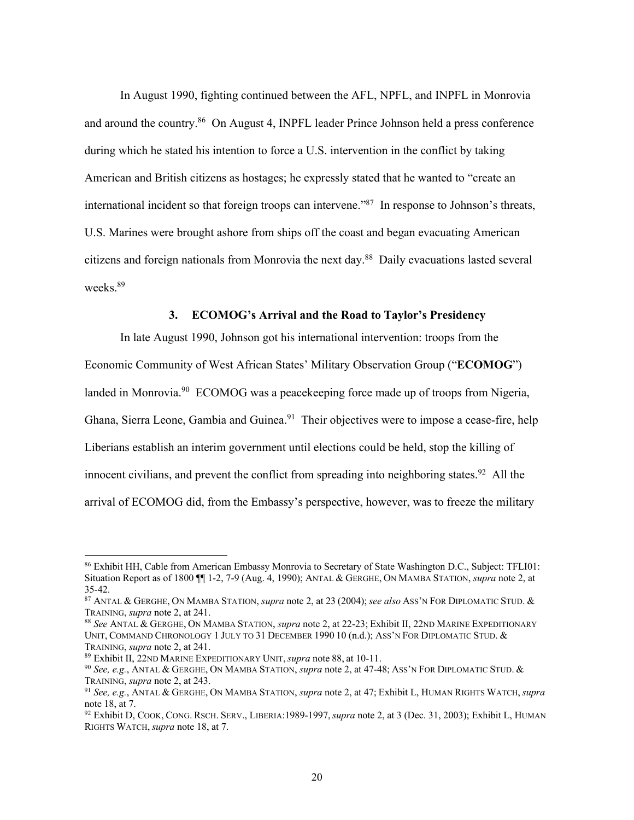In August 1990, fighting continued between the AFL, NPFL, and INPFL in Monrovia and around the country.<sup>86</sup> On August 4, INPFL leader Prince Johnson held a press conference during which he stated his intention to force a U.S. intervention in the conflict by taking American and British citizens as hostages; he expressly stated that he wanted to "create an international incident so that foreign troops can intervene."<sup>87</sup> In response to Johnson's threats, U.S. Marines were brought ashore from ships off the coast and began evacuating American citizens and foreign nationals from Monrovia the next day.<sup>88</sup> Daily evacuations lasted several weeks. 89

### **3. ECOMOG's Arrival and the Road to Taylor's Presidency**

In late August 1990, Johnson got his international intervention: troops from the Economic Community of West African States' Military Observation Group ("**ECOMOG**") landed in Monrovia.<sup>90</sup> ECOMOG was a peacekeeping force made up of troops from Nigeria, Ghana, Sierra Leone, Gambia and Guinea.<sup>91</sup> Their objectives were to impose a cease-fire, help Liberians establish an interim government until elections could be held, stop the killing of innocent civilians, and prevent the conflict from spreading into neighboring states.<sup>92</sup> All the arrival of ECOMOG did, from the Embassy's perspective, however, was to freeze the military

<sup>86</sup> Exhibit HH, Cable from American Embassy Monrovia to Secretary of State Washington D.C., Subject: TFLI01: Situation Report as of 1800 ¶¶ 1-2, 7-9 (Aug. 4, 1990); ANTAL & GERGHE, ON MAMBA STATION, *supra* note 2, at 35-42.

<sup>87</sup> ANTAL & GERGHE, ON MAMBA STATION, *supra* note 2, at 23 (2004); *see also* ASS'N FOR DIPLOMATIC STUD. & TRAINING, *supra* note 2, at 241.

<sup>88</sup> *See* ANTAL & GERGHE, ON MAMBA STATION, *supra* note 2, at 22-23; Exhibit II, 22ND MARINE EXPEDITIONARY UNIT, COMMAND CHRONOLOGY 1 JULY TO 31 DECEMBER 1990 10 (n.d.); ASS'N FOR DIPLOMATIC STUD. & TRAINING, *supra* note 2, at 241.

<sup>89</sup> Exhibit II, 22ND MARINE EXPEDITIONARY UNIT, *supra* note 88, at 10-11.

<sup>90</sup> *See, e.g.*, ANTAL & GERGHE, ON MAMBA STATION, *supra* note 2, at 47-48; ASS'N FOR DIPLOMATIC STUD. & TRAINING, *supra* note 2, at 243.

<sup>91</sup> *See, e.g.*, ANTAL & GERGHE, ON MAMBA STATION, *supra* note 2, at 47; Exhibit L, HUMAN RIGHTS WATCH, *supra*  note 18, at 7.

<sup>92</sup> Exhibit D, COOK, CONG. RSCH. SERV., LIBERIA:1989-1997, *supra* note 2, at 3 (Dec. 31, 2003); Exhibit L, HUMAN RIGHTS WATCH, *supra* note 18, at 7.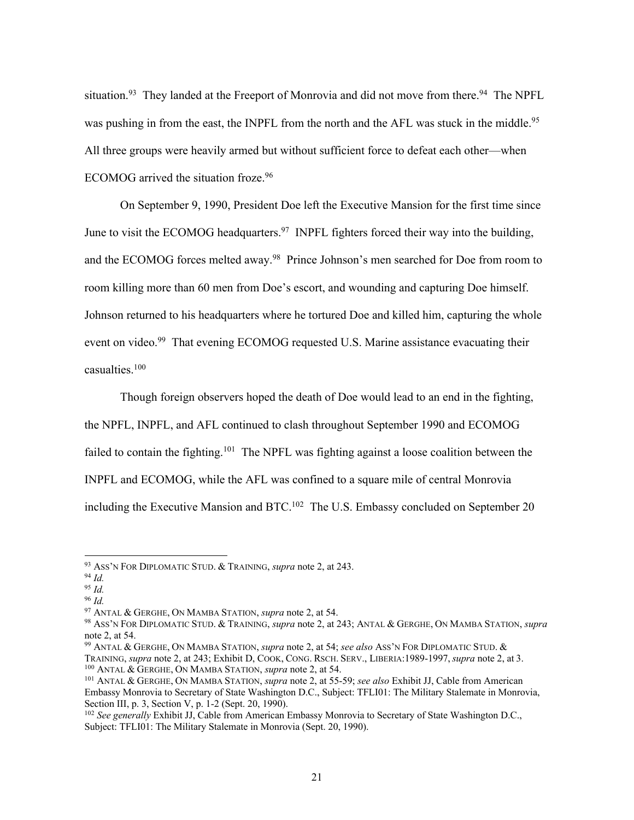situation.<sup>93</sup> They landed at the Freeport of Monrovia and did not move from there.<sup>94</sup> The NPFL was pushing in from the east, the INPFL from the north and the AFL was stuck in the middle.<sup>95</sup> All three groups were heavily armed but without sufficient force to defeat each other—when ECOMOG arrived the situation froze.<sup>96</sup>

On September 9, 1990, President Doe left the Executive Mansion for the first time since June to visit the ECOMOG headquarters.<sup>97</sup> INPFL fighters forced their way into the building, and the ECOMOG forces melted away.<sup>98</sup> Prince Johnson's men searched for Doe from room to room killing more than 60 men from Doe's escort, and wounding and capturing Doe himself. Johnson returned to his headquarters where he tortured Doe and killed him, capturing the whole event on video.<sup>99</sup> That evening ECOMOG requested U.S. Marine assistance evacuating their casualties. $100$ 

Though foreign observers hoped the death of Doe would lead to an end in the fighting, the NPFL, INPFL, and AFL continued to clash throughout September 1990 and ECOMOG failed to contain the fighting.<sup>101</sup> The NPFL was fighting against a loose coalition between the INPFL and ECOMOG, while the AFL was confined to a square mile of central Monrovia including the Executive Mansion and BTC.<sup>102</sup> The U.S. Embassy concluded on September 20

<sup>96</sup> *Id.*

<sup>93</sup> ASS'N FOR DIPLOMATIC STUD. & TRAINING, *supra* note 2, at 243.

<sup>94</sup> *Id.*

<sup>95</sup> *Id.*

<sup>97</sup> ANTAL & GERGHE, ON MAMBA STATION, *supra* note 2, at 54.

<sup>98</sup> ASS'N FOR DIPLOMATIC STUD. & TRAINING, *supra* note 2, at 243; ANTAL & GERGHE, ON MAMBA STATION, *supra* note 2, at 54.

<sup>99</sup> ANTAL & GERGHE, ON MAMBA STATION, *supra* note 2, at 54; *see also* ASS'N FOR DIPLOMATIC STUD. & TRAINING, *supra* note 2, at 243; Exhibit D, COOK, CONG. RSCH. SERV., LIBERIA:1989-1997, *supra* note 2, at 3. <sup>100</sup> ANTAL & GERGHE, ON MAMBA STATION, *supra* note 2, at 54.

<sup>101</sup> ANTAL & GERGHE, ON MAMBA STATION, *supra* note 2, at 55-59; *see also* Exhibit JJ, Cable from American Embassy Monrovia to Secretary of State Washington D.C., Subject: TFLI01: The Military Stalemate in Monrovia, Section III, p. 3, Section V, p. 1-2 (Sept. 20, 1990).

<sup>102</sup> *See generally* Exhibit JJ, Cable from American Embassy Monrovia to Secretary of State Washington D.C., Subject: TFLI01: The Military Stalemate in Monrovia (Sept. 20, 1990).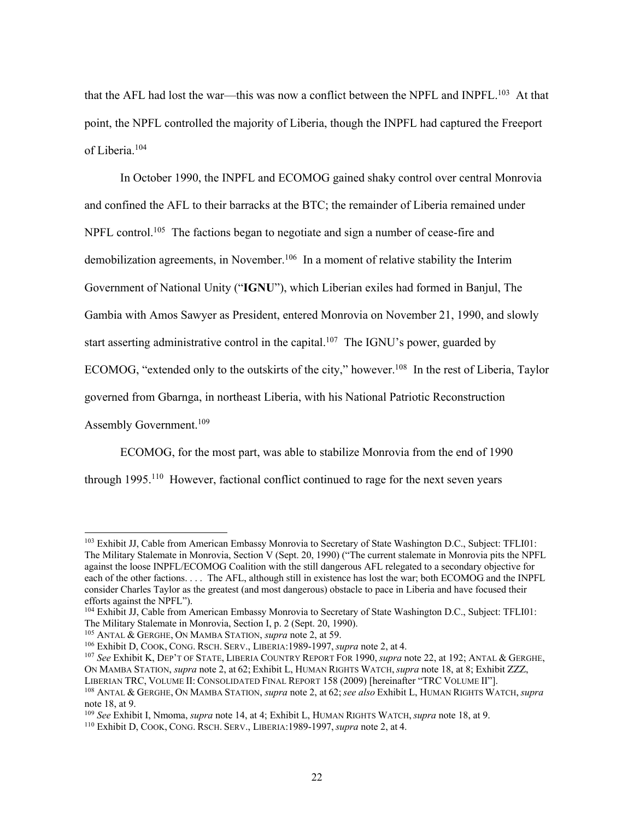that the AFL had lost the war—this was now a conflict between the NPFL and INPFL.<sup>103</sup> At that point, the NPFL controlled the majority of Liberia, though the INPFL had captured the Freeport of Liberia.<sup>104</sup>

In October 1990, the INPFL and ECOMOG gained shaky control over central Monrovia and confined the AFL to their barracks at the BTC; the remainder of Liberia remained under NPFL control.<sup>105</sup> The factions began to negotiate and sign a number of cease-fire and demobilization agreements, in November. <sup>106</sup> In a moment of relative stability the Interim Government of National Unity ("**IGNU**"), which Liberian exiles had formed in Banjul, The Gambia with Amos Sawyer as President, entered Monrovia on November 21, 1990, and slowly start asserting administrative control in the capital.<sup>107</sup> The IGNU's power, guarded by ECOMOG, "extended only to the outskirts of the city," however.<sup>108</sup> In the rest of Liberia, Taylor governed from Gbarnga, in northeast Liberia, with his National Patriotic Reconstruction Assembly Government.<sup>109</sup>

ECOMOG, for the most part, was able to stabilize Monrovia from the end of 1990

through  $1995$ <sup>110</sup> However, factional conflict continued to rage for the next seven years

<sup>&</sup>lt;sup>103</sup> Exhibit JJ, Cable from American Embassy Monrovia to Secretary of State Washington D.C., Subject: TFLI01: The Military Stalemate in Monrovia, Section V (Sept. 20, 1990) ("The current stalemate in Monrovia pits the NPFL against the loose INPFL/ECOMOG Coalition with the still dangerous AFL relegated to a secondary objective for each of the other factions. . . . The AFL, although still in existence has lost the war; both ECOMOG and the INPFL consider Charles Taylor as the greatest (and most dangerous) obstacle to pace in Liberia and have focused their efforts against the NPFL").

<sup>&</sup>lt;sup>104</sup> Exhibit JJ, Cable from American Embassy Monrovia to Secretary of State Washington D.C., Subject: TFLI01: The Military Stalemate in Monrovia, Section I, p. 2 (Sept. 20, 1990).

<sup>105</sup> ANTAL & GERGHE, ON MAMBA STATION, *supra* note 2, at 59.

<sup>106</sup> Exhibit D, COOK, CONG. RSCH. SERV., LIBERIA:1989-1997, *supra* note 2, at 4.

<sup>107</sup> *See* Exhibit K, DEP'T OF STATE, LIBERIA COUNTRY REPORT FOR 1990, *supra* note 22, at 192; ANTAL & GERGHE, ON MAMBA STATION, *supra* note 2, at 62; Exhibit L, HUMAN RIGHTS WATCH, *supra* note 18, at 8; Exhibit ZZZ, LIBERIAN TRC, VOLUME II: CONSOLIDATED FINAL REPORT 158 (2009) [hereinafter "TRC VOLUME II"].

<sup>108</sup> ANTAL & GERGHE, ON MAMBA STATION, *supra* note 2, at 62; *see also* Exhibit L, HUMAN RIGHTS WATCH, *supra*  note 18, at 9.

<sup>109</sup> *See* Exhibit I, Nmoma, *supra* note 14, at 4; Exhibit L, HUMAN RIGHTS WATCH, *supra* note 18, at 9.

<sup>110</sup> Exhibit D, COOK, CONG. RSCH. SERV., LIBERIA:1989-1997, *supra* note 2, at 4.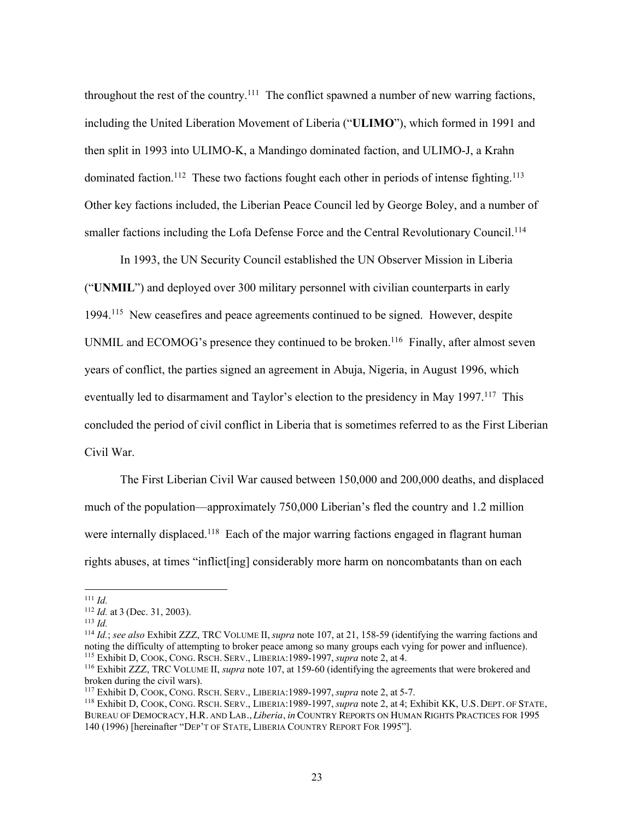throughout the rest of the country.<sup>111</sup> The conflict spawned a number of new warring factions, including the United Liberation Movement of Liberia ("**ULIMO**"), which formed in 1991 and then split in 1993 into ULIMO-K, a Mandingo dominated faction, and ULIMO-J, a Krahn dominated faction.<sup>112</sup> These two factions fought each other in periods of intense fighting.<sup>113</sup> Other key factions included, the Liberian Peace Council led by George Boley, and a number of smaller factions including the Lofa Defense Force and the Central Revolutionary Council.<sup>114</sup>

In 1993, the UN Security Council established the UN Observer Mission in Liberia ("**UNMIL**") and deployed over 300 military personnel with civilian counterparts in early 1994.<sup>115</sup> New ceasefires and peace agreements continued to be signed. However, despite UNMIL and ECOMOG's presence they continued to be broken.<sup>116</sup> Finally, after almost seven years of conflict, the parties signed an agreement in Abuja, Nigeria, in August 1996, which eventually led to disarmament and Taylor's election to the presidency in May 1997.<sup>117</sup> This concluded the period of civil conflict in Liberia that is sometimes referred to as the First Liberian Civil War.

The First Liberian Civil War caused between 150,000 and 200,000 deaths, and displaced much of the population—approximately 750,000 Liberian's fled the country and 1.2 million were internally displaced.<sup>118</sup> Each of the major warring factions engaged in flagrant human rights abuses, at times "inflict[ing] considerably more harm on noncombatants than on each

<sup>111</sup> *Id.*

<sup>112</sup> *Id.* at 3 (Dec. 31, 2003).

 $113$  *Id.* 

<sup>114</sup> *Id.*; *see also* Exhibit ZZZ, TRC VOLUME II, *supra* note 107, at 21, 158-59 (identifying the warring factions and noting the difficulty of attempting to broker peace among so many groups each vying for power and influence). <sup>115</sup> Exhibit D, COOK, CONG. RSCH. SERV., LIBERIA:1989-1997, *supra* note 2, at 4.

<sup>116</sup> Exhibit ZZZ, TRC VOLUME II, *supra* note 107, at 159-60 (identifying the agreements that were brokered and broken during the civil wars).

<sup>117</sup> Exhibit D, COOK, CONG. RSCH. SERV., LIBERIA:1989-1997, *supra* note 2, at 5-7.

<sup>118</sup> Exhibit D, COOK, CONG. RSCH. SERV., LIBERIA:1989-1997, *supra* note 2, at 4; Exhibit KK, U.S. DEPT. OF STATE, BUREAU OF DEMOCRACY, H.R. AND LAB., *Liberia*, *in* COUNTRY REPORTS ON HUMAN RIGHTS PRACTICES FOR 1995 140 (1996) [hereinafter "DEP'T OF STATE, LIBERIA COUNTRY REPORT FOR 1995"].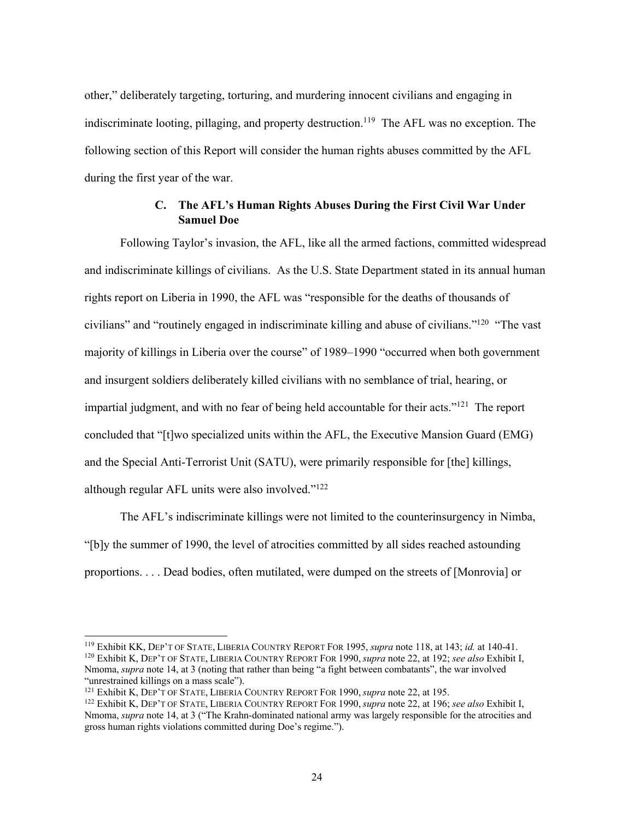other," deliberately targeting, torturing, and murdering innocent civilians and engaging in indiscriminate looting, pillaging, and property destruction.<sup>119</sup> The AFL was no exception. The following section of this Report will consider the human rights abuses committed by the AFL during the first year of the war.

# **C. The AFL's Human Rights Abuses During the First Civil War Under Samuel Doe**

Following Taylor's invasion, the AFL, like all the armed factions, committed widespread and indiscriminate killings of civilians. As the U.S. State Department stated in its annual human rights report on Liberia in 1990, the AFL was "responsible for the deaths of thousands of civilians" and "routinely engaged in indiscriminate killing and abuse of civilians."<sup>120</sup> "The vast majority of killings in Liberia over the course" of 1989–1990 "occurred when both government and insurgent soldiers deliberately killed civilians with no semblance of trial, hearing, or impartial judgment, and with no fear of being held accountable for their acts."<sup>121</sup> The report concluded that "[t]wo specialized units within the AFL, the Executive Mansion Guard (EMG) and the Special Anti-Terrorist Unit (SATU), were primarily responsible for [the] killings, although regular AFL units were also involved."<sup>122</sup>

The AFL's indiscriminate killings were not limited to the counterinsurgency in Nimba, "[b]y the summer of 1990, the level of atrocities committed by all sides reached astounding proportions. . . . Dead bodies, often mutilated, were dumped on the streets of [Monrovia] or

<sup>119</sup> Exhibit KK, DEP'T OF STATE, LIBERIA COUNTRY REPORT FOR 1995, *supra* note 118, at 143; *id.* at 140-41.

<sup>120</sup> Exhibit K, DEP'T OF STATE, LIBERIA COUNTRY REPORT FOR 1990, *supra* note 22, at 192; *see also* Exhibit I, Nmoma, *supra* note 14, at 3 (noting that rather than being "a fight between combatants", the war involved "unrestrained killings on a mass scale").

<sup>121</sup> Exhibit K, DEP'T OF STATE, LIBERIA COUNTRY REPORT FOR 1990, *supra* note 22, at 195.

<sup>122</sup> Exhibit K, DEP'T OF STATE, LIBERIA COUNTRY REPORT FOR 1990, *supra* note 22, at 196; *see also* Exhibit I, Nmoma, *supra* note 14, at 3 ("The Krahn-dominated national army was largely responsible for the atrocities and gross human rights violations committed during Doe's regime.").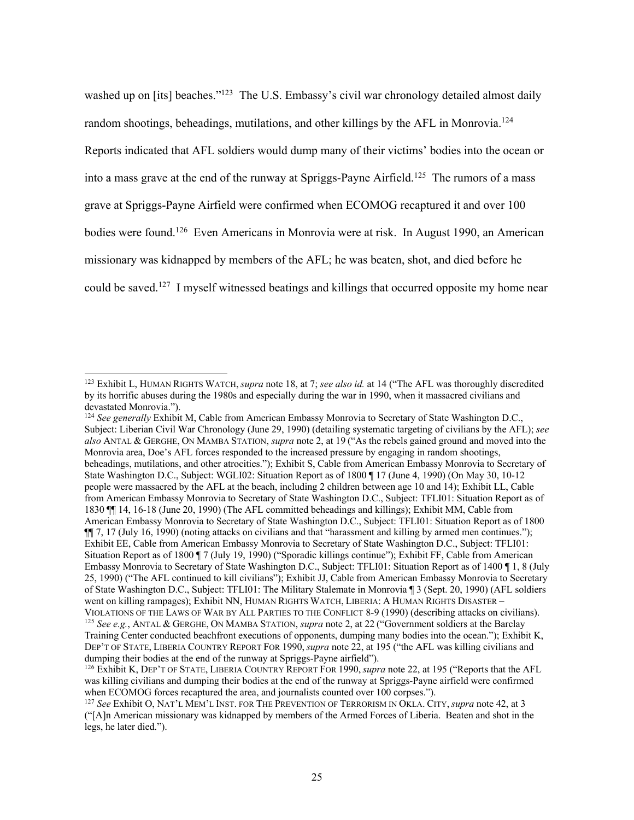washed up on [its] beaches."<sup>123</sup> The U.S. Embassy's civil war chronology detailed almost daily random shootings, beheadings, mutilations, and other killings by the AFL in Monrovia.<sup>124</sup> Reports indicated that AFL soldiers would dump many of their victims' bodies into the ocean or into a mass grave at the end of the runway at Spriggs-Payne Airfield.<sup>125</sup> The rumors of a mass grave at Spriggs-Payne Airfield were confirmed when ECOMOG recaptured it and over 100 bodies were found.<sup>126</sup> Even Americans in Monrovia were at risk. In August 1990, an American missionary was kidnapped by members of the AFL; he was beaten, shot, and died before he could be saved.<sup>127</sup> I myself witnessed beatings and killings that occurred opposite my home near

<sup>123</sup> Exhibit L, HUMAN RIGHTS WATCH, *supra* note 18, at 7; *see also id.* at 14 ("The AFL was thoroughly discredited by its horrific abuses during the 1980s and especially during the war in 1990, when it massacred civilians and devastated Monrovia.").

<sup>124</sup> *See generally* Exhibit M, Cable from American Embassy Monrovia to Secretary of State Washington D.C., Subject: Liberian Civil War Chronology (June 29, 1990) (detailing systematic targeting of civilians by the AFL); *see also* ANTAL & GERGHE, ON MAMBA STATION, *supra* note 2, at 19 ("As the rebels gained ground and moved into the Monrovia area, Doe's AFL forces responded to the increased pressure by engaging in random shootings, beheadings, mutilations, and other atrocities."); Exhibit S, Cable from American Embassy Monrovia to Secretary of State Washington D.C., Subject: WGLI02: Situation Report as of 1800 ¶ 17 (June 4, 1990) (On May 30, 10-12 people were massacred by the AFL at the beach, including 2 children between age 10 and 14); Exhibit LL, Cable from American Embassy Monrovia to Secretary of State Washington D.C., Subject: TFLI01: Situation Report as of 1830 ¶¶ 14, 16-18 (June 20, 1990) (The AFL committed beheadings and killings); Exhibit MM, Cable from American Embassy Monrovia to Secretary of State Washington D.C., Subject: TFLI01: Situation Report as of 1800 ¶¶ 7, 17 (July 16, 1990) (noting attacks on civilians and that "harassment and killing by armed men continues."); Exhibit EE, Cable from American Embassy Monrovia to Secretary of State Washington D.C., Subject: TFLI01: Situation Report as of 1800 ¶ 7 (July 19, 1990) ("Sporadic killings continue"); Exhibit FF, Cable from American Embassy Monrovia to Secretary of State Washington D.C., Subject: TFLI01: Situation Report as of 1400 ¶ 1, 8 (July 25, 1990) ("The AFL continued to kill civilians"); Exhibit JJ, Cable from American Embassy Monrovia to Secretary of State Washington D.C., Subject: TFLI01: The Military Stalemate in Monrovia ¶ 3 (Sept. 20, 1990) (AFL soldiers went on killing rampages); Exhibit NN, HUMAN RIGHTS WATCH, LIBERIA: A HUMAN RIGHTS DISASTER – VIOLATIONS OF THE LAWS OF WAR BY ALL PARTIES TO THE CONFLICT 8-9 (1990) (describing attacks on civilians). <sup>125</sup> *See e.g.*, ANTAL & GERGHE, ON MAMBA STATION, *supra* note 2, at 22 ("Government soldiers at the Barclay

Training Center conducted beachfront executions of opponents, dumping many bodies into the ocean."); Exhibit K, DEP'T OF STATE, LIBERIA COUNTRY REPORT FOR 1990, *supra* note 22, at 195 ("the AFL was killing civilians and dumping their bodies at the end of the runway at Spriggs-Payne airfield").

<sup>126</sup> Exhibit K, DEP'T OF STATE, LIBERIA COUNTRY REPORT FOR 1990, *supra* note 22, at 195 ("Reports that the AFL was killing civilians and dumping their bodies at the end of the runway at Spriggs-Payne airfield were confirmed when ECOMOG forces recaptured the area, and journalists counted over 100 corpses.").

<sup>127</sup> *See* Exhibit O, NAT'L MEM'L INST. FOR THE PREVENTION OF TERRORISM IN OKLA. CITY, *supra* note 42, at 3 ("[A]n American missionary was kidnapped by members of the Armed Forces of Liberia. Beaten and shot in the legs, he later died.").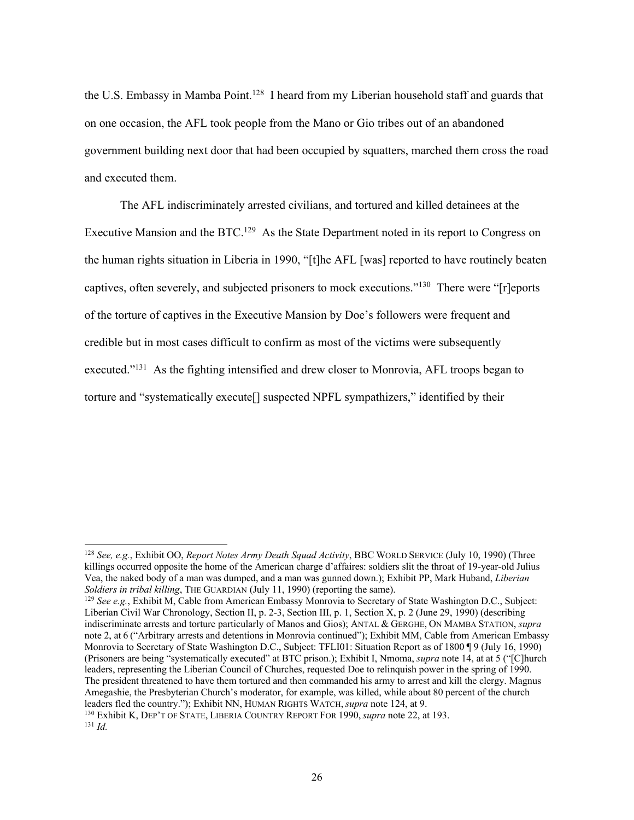the U.S. Embassy in Mamba Point.<sup>128</sup> I heard from my Liberian household staff and guards that on one occasion, the AFL took people from the Mano or Gio tribes out of an abandoned government building next door that had been occupied by squatters, marched them cross the road and executed them.

The AFL indiscriminately arrested civilians, and tortured and killed detainees at the Executive Mansion and the BTC.<sup>129</sup> As the State Department noted in its report to Congress on the human rights situation in Liberia in 1990, "[t]he AFL [was] reported to have routinely beaten captives, often severely, and subjected prisoners to mock executions."<sup>130</sup> There were "[r]eports of the torture of captives in the Executive Mansion by Doe's followers were frequent and credible but in most cases difficult to confirm as most of the victims were subsequently executed.<sup>"131</sup> As the fighting intensified and drew closer to Monrovia, AFL troops began to torture and "systematically execute[] suspected NPFL sympathizers," identified by their

<sup>128</sup> *See, e.g.*, Exhibit OO, *Report Notes Army Death Squad Activity*, BBC WORLD SERVICE (July 10, 1990) (Three killings occurred opposite the home of the American charge d'affaires: soldiers slit the throat of 19-year-old Julius Vea, the naked body of a man was dumped, and a man was gunned down.); Exhibit PP, Mark Huband, *Liberian Soldiers in tribal killing*, THE GUARDIAN (July 11, 1990) (reporting the same).

<sup>129</sup> *See e.g.*, Exhibit M, Cable from American Embassy Monrovia to Secretary of State Washington D.C., Subject: Liberian Civil War Chronology, Section II, p. 2-3, Section III, p. 1, Section X, p. 2 (June 29, 1990) (describing indiscriminate arrests and torture particularly of Manos and Gios); ANTAL & GERGHE, ON MAMBA STATION, *supra* note 2, at 6 ("Arbitrary arrests and detentions in Monrovia continued"); Exhibit MM, Cable from American Embassy Monrovia to Secretary of State Washington D.C., Subject: TFLI01: Situation Report as of 1800 ¶ 9 (July 16, 1990) (Prisoners are being "systematically executed" at BTC prison.); Exhibit I, Nmoma, *supra* note 14, at at 5 ("[C]hurch leaders, representing the Liberian Council of Churches, requested Doe to relinquish power in the spring of 1990. The president threatened to have them tortured and then commanded his army to arrest and kill the clergy. Magnus Amegashie, the Presbyterian Church's moderator, for example, was killed, while about 80 percent of the church leaders fled the country."); Exhibit NN, HUMAN RIGHTS WATCH, *supra* note 124, at 9.

<sup>130</sup> Exhibit K, DEP'T OF STATE, LIBERIA COUNTRY REPORT FOR 1990, *supra* note 22, at 193.  $131$  *Id.*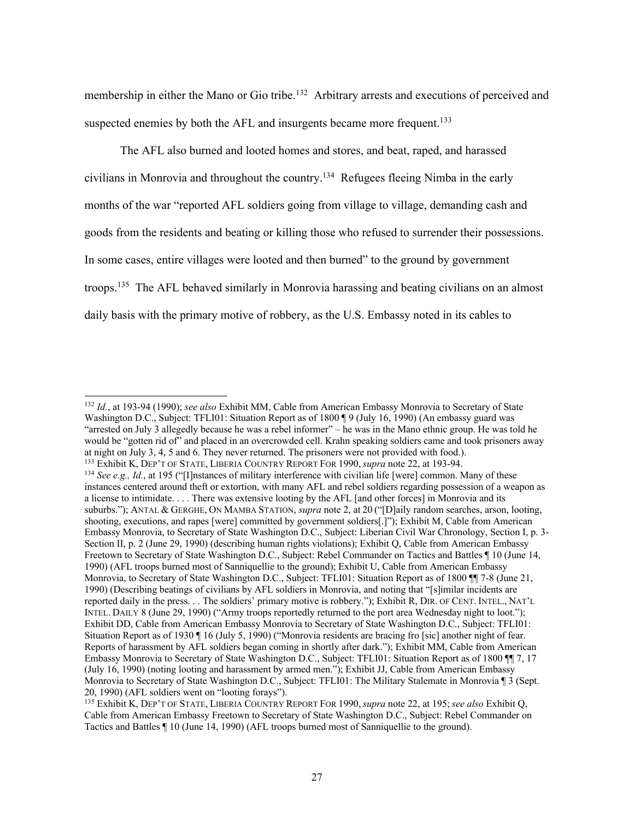membership in either the Mano or Gio tribe.<sup>132</sup> Arbitrary arrests and executions of perceived and suspected enemies by both the AFL and insurgents became more frequent.<sup>133</sup>

The AFL also burned and looted homes and stores, and beat, raped, and harassed civilians in Monrovia and throughout the country.<sup>134</sup> Refugees fleeing Nimba in the early months of the war "reported AFL soldiers going from village to village, demanding cash and goods from the residents and beating or killing those who refused to surrender their possessions. In some cases, entire villages were looted and then burned" to the ground by government troops.<sup>135</sup> The AFL behaved similarly in Monrovia harassing and beating civilians on an almost daily basis with the primary motive of robbery, as the U.S. Embassy noted in its cables to

<sup>132</sup> *Id.*, at 193-94 (1990); *see also* Exhibit MM, Cable from American Embassy Monrovia to Secretary of State Washington D.C., Subject: TFLI01: Situation Report as of 1800 ¶ 9 (July 16, 1990) (An embassy guard was "arrested on July 3 allegedly because he was a rebel informer" – he was in the Mano ethnic group. He was told he would be "gotten rid of" and placed in an overcrowded cell. Krahn speaking soldiers came and took prisoners away at night on July 3, 4, 5 and 6. They never returned. The prisoners were not provided with food.). <sup>133</sup> Exhibit K, DEP'T OF STATE, LIBERIA COUNTRY REPORT FOR 1990, *supra* note 22, at 193-94.

<sup>&</sup>lt;sup>134</sup> See e.g., Id., at 195 ("[I]nstances of military interference with civilian life [were] common. Many of these instances centered around theft or extortion, with many AFL and rebel soldiers regarding possession of a weapon as a license to intimidate. . . . There was extensive looting by the AFL [and other forces] in Monrovia and its suburbs."); ANTAL & GERGHE, ON MAMBA STATION, *supra* note 2, at 20 ("[D]aily random searches, arson, looting, shooting, executions, and rapes [were] committed by government soldiers[.]"); Exhibit M, Cable from American Embassy Monrovia, to Secretary of State Washington D.C., Subject: Liberian Civil War Chronology, Section I, p. 3- Section II, p. 2 (June 29, 1990) (describing human rights violations); Exhibit Q, Cable from American Embassy Freetown to Secretary of State Washington D.C., Subject: Rebel Commander on Tactics and Battles ¶ 10 (June 14, 1990) (AFL troops burned most of Sanniquellie to the ground); Exhibit U, Cable from American Embassy Monrovia, to Secretary of State Washington D.C., Subject: TFLI01: Situation Report as of 1800 ¶¶ 7-8 (June 21, 1990) (Describing beatings of civilians by AFL soldiers in Monrovia, and noting that "[s]imilar incidents are reported daily in the press. . . The soldiers' primary motive is robbery."); Exhibit R, DIR. OF CENT. INTEL., NAT'L INTEL. DAILY 8 (June 29, 1990) ("Army troops reportedly returned to the port area Wednesday night to loot."); Exhibit DD, Cable from American Embassy Monrovia to Secretary of State Washington D.C., Subject: TFLI01: Situation Report as of 1930 ¶ 16 (July 5, 1990) ("Monrovia residents are bracing fro [sic] another night of fear. Reports of harassment by AFL soldiers began coming in shortly after dark."); Exhibit MM, Cable from American Embassy Monrovia to Secretary of State Washington D.C., Subject: TFLI01: Situation Report as of 1800 ¶¶ 7, 17 (July 16, 1990) (noting looting and harassment by armed men."); Exhibit JJ, Cable from American Embassy Monrovia to Secretary of State Washington D.C., Subject: TFLI01: The Military Stalemate in Monrovia ¶ 3 (Sept. 20, 1990) (AFL soldiers went on "looting forays").

<sup>135</sup> Exhibit K, DEP'T OF STATE, LIBERIA COUNTRY REPORT FOR 1990, *supra* note 22, at 195; *see also* Exhibit Q, Cable from American Embassy Freetown to Secretary of State Washington D.C., Subject: Rebel Commander on Tactics and Battles ¶ 10 (June 14, 1990) (AFL troops burned most of Sanniquellie to the ground).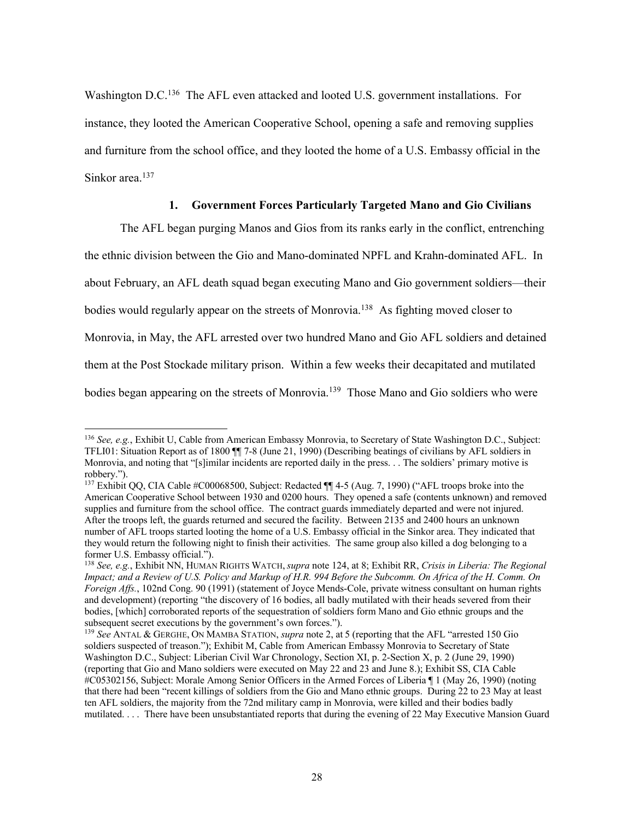Washington D.C.<sup>136</sup> The AFL even attacked and looted U.S. government installations. For instance, they looted the American Cooperative School, opening a safe and removing supplies and furniture from the school office, and they looted the home of a U.S. Embassy official in the Sinkor area.<sup>137</sup>

## **1. Government Forces Particularly Targeted Mano and Gio Civilians**

The AFL began purging Manos and Gios from its ranks early in the conflict, entrenching the ethnic division between the Gio and Mano-dominated NPFL and Krahn-dominated AFL. In about February, an AFL death squad began executing Mano and Gio government soldiers—their bodies would regularly appear on the streets of Monrovia.<sup>138</sup> As fighting moved closer to Monrovia, in May, the AFL arrested over two hundred Mano and Gio AFL soldiers and detained them at the Post Stockade military prison. Within a few weeks their decapitated and mutilated bodies began appearing on the streets of Monrovia.<sup>139</sup> Those Mano and Gio soldiers who were

<sup>136</sup> *See, e.g.*, Exhibit U, Cable from American Embassy Monrovia, to Secretary of State Washington D.C., Subject: TFLI01: Situation Report as of 1800 ¶¶ 7-8 (June 21, 1990) (Describing beatings of civilians by AFL soldiers in Monrovia, and noting that "[s]imilar incidents are reported daily in the press. . . The soldiers' primary motive is robbery.").

<sup>&</sup>lt;sup>137</sup> Exhibit QQ, CIA Cable #C00068500, Subject: Redacted ¶[4-5 (Aug. 7, 1990) ("AFL troops broke into the American Cooperative School between 1930 and 0200 hours. They opened a safe (contents unknown) and removed supplies and furniture from the school office. The contract guards immediately departed and were not injured. After the troops left, the guards returned and secured the facility. Between 2135 and 2400 hours an unknown number of AFL troops started looting the home of a U.S. Embassy official in the Sinkor area. They indicated that they would return the following night to finish their activities. The same group also killed a dog belonging to a former U.S. Embassy official.").

<sup>138</sup> *See, e.g.*, Exhibit NN, HUMAN RIGHTS WATCH, *supra* note 124, at 8; Exhibit RR, *Crisis in Liberia: The Regional Impact; and a Review of U.S. Policy and Markup of H.R. 994 Before the Subcomm. On Africa of the H. Comm. On Foreign Affs.*, 102nd Cong. 90 (1991) (statement of Joyce Mends-Cole, private witness consultant on human rights and development) (reporting "the discovery of 16 bodies, all badly mutilated with their heads severed from their bodies, [which] corroborated reports of the sequestration of soldiers form Mano and Gio ethnic groups and the subsequent secret executions by the government's own forces.").

<sup>139</sup> *See* ANTAL & GERGHE, ON MAMBA STATION, *supra* note 2, at 5 (reporting that the AFL "arrested 150 Gio soldiers suspected of treason."); Exhibit M, Cable from American Embassy Monrovia to Secretary of State Washington D.C., Subject: Liberian Civil War Chronology, Section XI, p. 2-Section X, p. 2 (June 29, 1990) (reporting that Gio and Mano soldiers were executed on May 22 and 23 and June 8.); Exhibit SS, CIA Cable #C05302156, Subject: Morale Among Senior Officers in the Armed Forces of Liberia ¶ 1 (May 26, 1990) (noting that there had been "recent killings of soldiers from the Gio and Mano ethnic groups. During 22 to 23 May at least ten AFL soldiers, the majority from the 72nd military camp in Monrovia, were killed and their bodies badly mutilated. . . . There have been unsubstantiated reports that during the evening of 22 May Executive Mansion Guard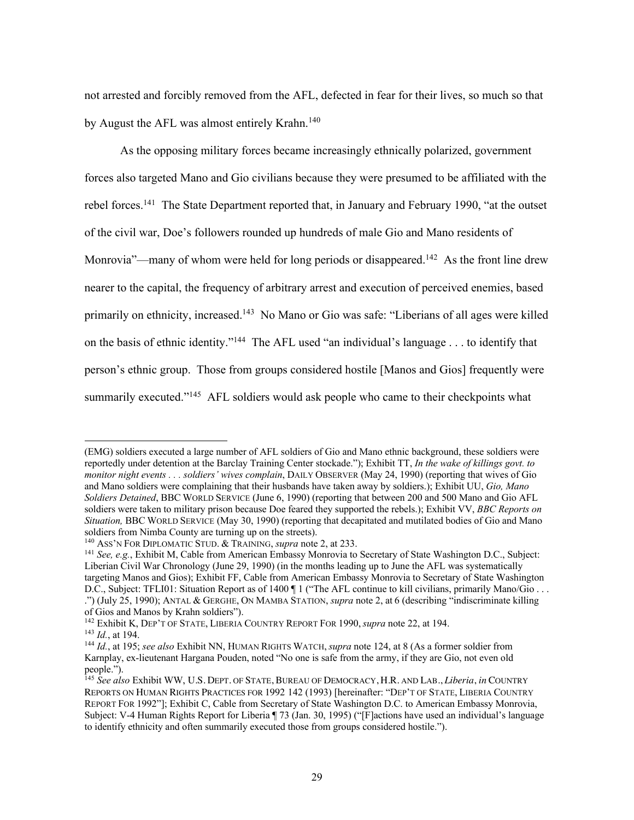not arrested and forcibly removed from the AFL, defected in fear for their lives, so much so that by August the AFL was almost entirely Krahn.<sup>140</sup>

As the opposing military forces became increasingly ethnically polarized, government forces also targeted Mano and Gio civilians because they were presumed to be affiliated with the rebel forces.<sup>141</sup> The State Department reported that, in January and February 1990, "at the outset of the civil war, Doe's followers rounded up hundreds of male Gio and Mano residents of Monrovia"—many of whom were held for long periods or disappeared.<sup>142</sup> As the front line drew nearer to the capital, the frequency of arbitrary arrest and execution of perceived enemies, based primarily on ethnicity, increased.<sup>143</sup> No Mano or Gio was safe: "Liberians of all ages were killed on the basis of ethnic identity."<sup>144</sup> The AFL used "an individual's language . . . to identify that person's ethnic group. Those from groups considered hostile [Manos and Gios] frequently were summarily executed."<sup>145</sup> AFL soldiers would ask people who came to their checkpoints what

<sup>(</sup>EMG) soldiers executed a large number of AFL soldiers of Gio and Mano ethnic background, these soldiers were reportedly under detention at the Barclay Training Center stockade."); Exhibit TT, *In the wake of killings govt. to monitor night events . . . soldiers' wives complain*, DAILY OBSERVER (May 24, 1990) (reporting that wives of Gio and Mano soldiers were complaining that their husbands have taken away by soldiers.); Exhibit UU, *Gio, Mano Soldiers Detained*, BBC WORLD SERVICE (June 6, 1990) (reporting that between 200 and 500 Mano and Gio AFL soldiers were taken to military prison because Doe feared they supported the rebels.); Exhibit VV, *BBC Reports on Situation,* BBC WORLD SERVICE (May 30, 1990) (reporting that decapitated and mutilated bodies of Gio and Mano soldiers from Nimba County are turning up on the streets).

<sup>140</sup> ASS'N FOR DIPLOMATIC STUD. & TRAINING, *supra* note 2, at 233.

<sup>141</sup> *See, e.g.*, Exhibit M, Cable from American Embassy Monrovia to Secretary of State Washington D.C., Subject: Liberian Civil War Chronology (June 29, 1990) (in the months leading up to June the AFL was systematically targeting Manos and Gios); Exhibit FF, Cable from American Embassy Monrovia to Secretary of State Washington D.C., Subject: TFLI01: Situation Report as of 1400 ¶ 1 ("The AFL continue to kill civilians, primarily Mano/Gio ... .") (July 25, 1990); ANTAL & GERGHE, ON MAMBA STATION, *supra* note 2, at 6 (describing "indiscriminate killing of Gios and Manos by Krahn soldiers").

<sup>142</sup> Exhibit K, DEP'T OF STATE, LIBERIA COUNTRY REPORT FOR 1990, *supra* note 22, at 194.

<sup>143</sup> *Id.*, at 194.

<sup>144</sup> *Id.*, at 195; *see also* Exhibit NN, HUMAN RIGHTS WATCH, *supra* note 124, at 8 (As a former soldier from Karnplay, ex-lieutenant Hargana Pouden, noted "No one is safe from the army, if they are Gio, not even old people.").

<sup>145</sup> *See also* Exhibit WW, U.S. DEPT. OF STATE, BUREAU OF DEMOCRACY, H.R. AND LAB., *Liberia*, *in* COUNTRY REPORTS ON HUMAN RIGHTS PRACTICES FOR 1992 142 (1993) [hereinafter: "DEP'T OF STATE, LIBERIA COUNTRY REPORT FOR 1992"]; Exhibit C, Cable from Secretary of State Washington D.C. to American Embassy Monrovia, Subject: V-4 Human Rights Report for Liberia ¶ 73 (Jan. 30, 1995) ("[F]actions have used an individual's language to identify ethnicity and often summarily executed those from groups considered hostile.").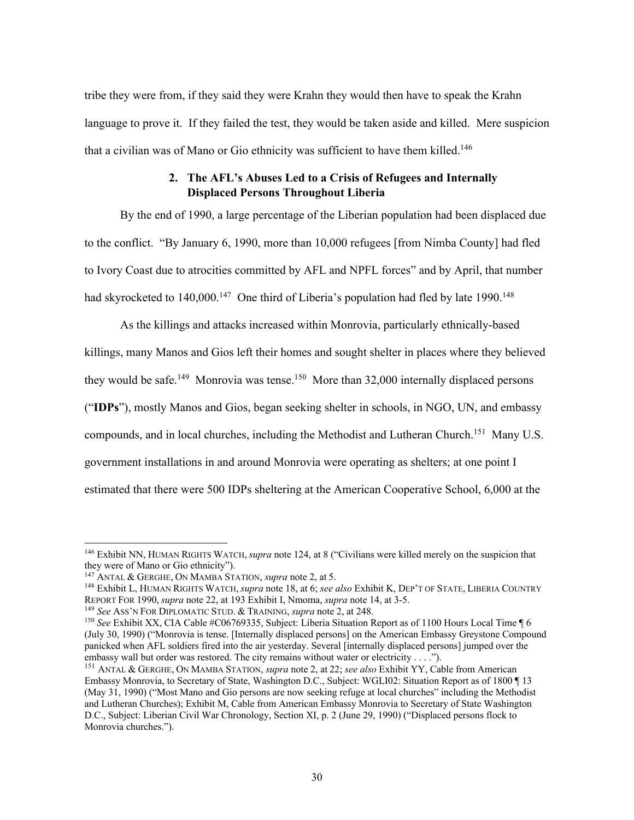tribe they were from, if they said they were Krahn they would then have to speak the Krahn language to prove it. If they failed the test, they would be taken aside and killed. Mere suspicion that a civilian was of Mano or Gio ethnicity was sufficient to have them killed.<sup>146</sup>

# **2. The AFL's Abuses Led to a Crisis of Refugees and Internally Displaced Persons Throughout Liberia**

By the end of 1990, a large percentage of the Liberian population had been displaced due to the conflict. "By January 6, 1990, more than 10,000 refugees [from Nimba County] had fled to Ivory Coast due to atrocities committed by AFL and NPFL forces" and by April, that number had skyrocketed to 140,000.<sup>147</sup> One third of Liberia's population had fled by late 1990.<sup>148</sup>

As the killings and attacks increased within Monrovia, particularly ethnically-based killings, many Manos and Gios left their homes and sought shelter in places where they believed they would be safe.<sup>149</sup> Monrovia was tense.<sup>150</sup> More than 32,000 internally displaced persons ("**IDPs**"), mostly Manos and Gios, began seeking shelter in schools, in NGO, UN, and embassy compounds, and in local churches, including the Methodist and Lutheran Church.<sup>151</sup> Many U.S. government installations in and around Monrovia were operating as shelters; at one point I estimated that there were 500 IDPs sheltering at the American Cooperative School, 6,000 at the

<sup>146</sup> Exhibit NN, HUMAN RIGHTS WATCH, *supra* note 124, at 8 ("Civilians were killed merely on the suspicion that they were of Mano or Gio ethnicity").

<sup>147</sup> ANTAL & GERGHE, ON MAMBA STATION, *supra* note 2, at 5.

<sup>148</sup> Exhibit L, HUMAN RIGHTS WATCH, *supra* note 18, at 6; *see also* Exhibit K, DEP'T OF STATE, LIBERIA COUNTRY REPORT FOR 1990, *supra* note 22, at 193 Exhibit I, Nmoma, *supra* note 14, at 3-5.

<sup>149</sup> *See* ASS'N FOR DIPLOMATIC STUD. & TRAINING, *supra* note 2, at 248.

<sup>&</sup>lt;sup>150</sup> See Exhibit XX, CIA Cable #C06769335, Subject: Liberia Situation Report as of 1100 Hours Local Time ¶ 6 (July 30, 1990) ("Monrovia is tense. [Internally displaced persons] on the American Embassy Greystone Compound panicked when AFL soldiers fired into the air yesterday. Several [internally displaced persons] jumped over the embassy wall but order was restored. The city remains without water or electricity . . . .").

<sup>151</sup> ANTAL & GERGHE, ON MAMBA STATION, *supra* note 2, at 22; *see also* Exhibit YY, Cable from American Embassy Monrovia, to Secretary of State, Washington D.C., Subject: WGLI02: Situation Report as of 1800 ¶ 13 (May 31, 1990) ("Most Mano and Gio persons are now seeking refuge at local churches" including the Methodist and Lutheran Churches); Exhibit M, Cable from American Embassy Monrovia to Secretary of State Washington D.C., Subject: Liberian Civil War Chronology, Section XI, p. 2 (June 29, 1990) ("Displaced persons flock to Monrovia churches.").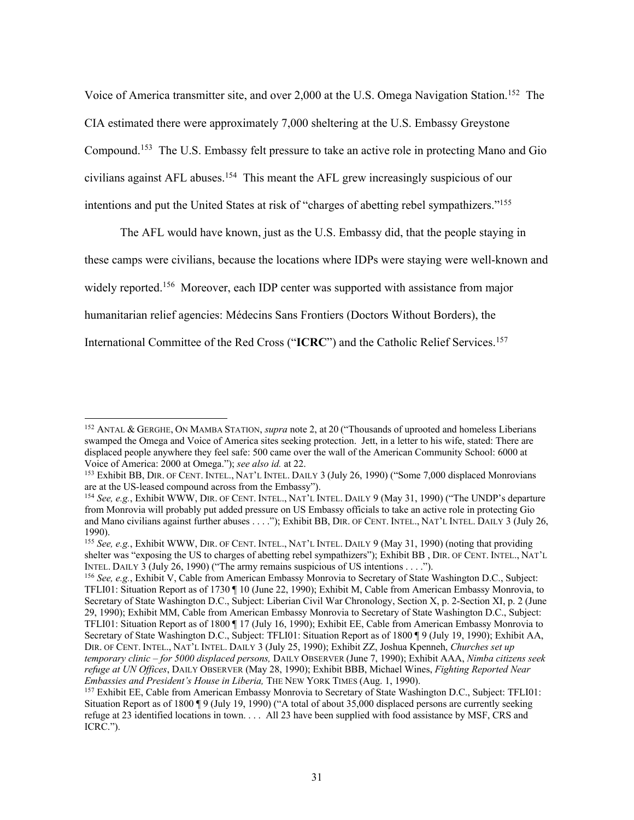Voice of America transmitter site, and over 2,000 at the U.S. Omega Navigation Station.<sup>152</sup> The CIA estimated there were approximately 7,000 sheltering at the U.S. Embassy Greystone Compound.<sup>153</sup> The U.S. Embassy felt pressure to take an active role in protecting Mano and Gio civilians against AFL abuses. <sup>154</sup> This meant the AFL grew increasingly suspicious of our intentions and put the United States at risk of "charges of abetting rebel sympathizers."<sup>155</sup>

The AFL would have known, just as the U.S. Embassy did, that the people staying in these camps were civilians, because the locations where IDPs were staying were well-known and widely reported.<sup>156</sup> Moreover, each IDP center was supported with assistance from major humanitarian relief agencies: Médecins Sans Frontiers (Doctors Without Borders), the International Committee of the Red Cross ("**ICRC**") and the Catholic Relief Services.<sup>157</sup>

<sup>152</sup> ANTAL & GERGHE, ON MAMBA STATION, *supra* note 2, at 20 ("Thousands of uprooted and homeless Liberians swamped the Omega and Voice of America sites seeking protection. Jett, in a letter to his wife, stated: There are displaced people anywhere they feel safe: 500 came over the wall of the American Community School: 6000 at Voice of America: 2000 at Omega."); *see also id.* at 22.

<sup>153</sup> Exhibit BB, DIR. OF CENT. INTEL., NAT'L INTEL. DAILY 3 (July 26, 1990) ("Some 7,000 displaced Monrovians are at the US-leased compound across from the Embassy").

<sup>154</sup> *See, e.g.*, Exhibit WWW, DIR. OF CENT. INTEL., NAT'L INTEL. DAILY 9 (May 31, 1990) ("The UNDP's departure from Monrovia will probably put added pressure on US Embassy officials to take an active role in protecting Gio and Mano civilians against further abuses . . . ."); Exhibit BB, DIR. OF CENT. INTEL., NAT'L INTEL. DAILY 3 (July 26, 1990).

<sup>155</sup> *See, e.g.*, Exhibit WWW, DIR. OF CENT. INTEL., NAT'L INTEL. DAILY 9 (May 31, 1990) (noting that providing shelter was "exposing the US to charges of abetting rebel sympathizers"); Exhibit BB , DIR. OF CENT. INTEL., NAT'L INTEL. DAILY 3 (July 26, 1990) ("The army remains suspicious of US intentions . . . .").

<sup>156</sup> *See, e.g.*, Exhibit V, Cable from American Embassy Monrovia to Secretary of State Washington D.C., Subject: TFLI01: Situation Report as of 1730 ¶ 10 (June 22, 1990); Exhibit M, Cable from American Embassy Monrovia, to Secretary of State Washington D.C., Subject: Liberian Civil War Chronology, Section X, p. 2-Section XI, p. 2 (June 29, 1990); Exhibit MM, Cable from American Embassy Monrovia to Secretary of State Washington D.C., Subject: TFLI01: Situation Report as of 1800 ¶ 17 (July 16, 1990); Exhibit EE, Cable from American Embassy Monrovia to Secretary of State Washington D.C., Subject: TFLI01: Situation Report as of 1800 ¶ 9 (July 19, 1990); Exhibit AA, DIR. OF CENT. INTEL., NAT'L INTEL. DAILY 3 (July 25, 1990); Exhibit ZZ, Joshua Kpenneh, *Churches set up temporary clinic – for 5000 displaced persons,* DAILY OBSERVER (June 7, 1990); Exhibit AAA, *Nimba citizens seek refuge at UN Offices*, DAILY OBSERVER (May 28, 1990); Exhibit BBB, Michael Wines, *Fighting Reported Near Embassies and President's House in Liberia,* THE NEW YORK TIMES (Aug. 1, 1990).

<sup>&</sup>lt;sup>157</sup> Exhibit EE, Cable from American Embassy Monrovia to Secretary of State Washington D.C., Subject: TFLI01: Situation Report as of 1800 ¶ 9 (July 19, 1990) ("A total of about 35,000 displaced persons are currently seeking refuge at 23 identified locations in town. . . . All 23 have been supplied with food assistance by MSF, CRS and ICRC.").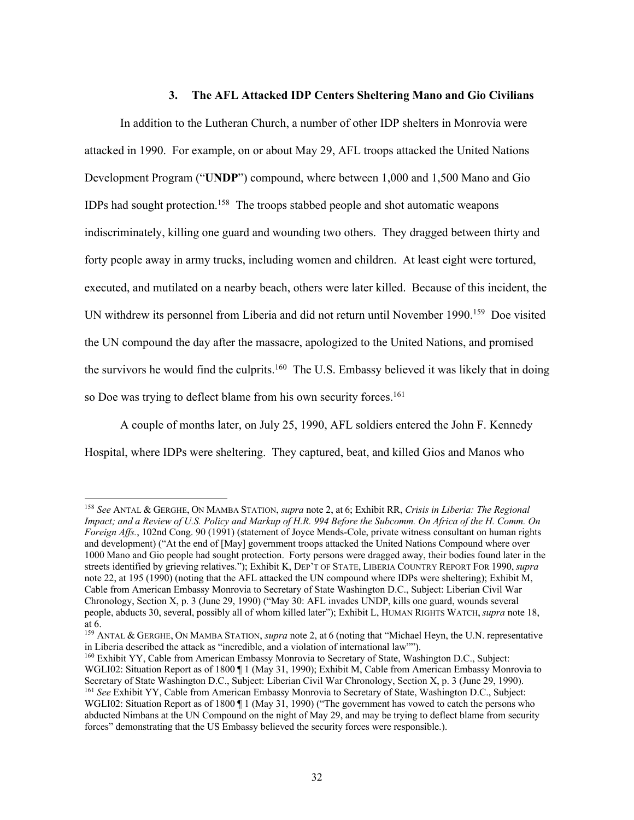### **3. The AFL Attacked IDP Centers Sheltering Mano and Gio Civilians**

In addition to the Lutheran Church, a number of other IDP shelters in Monrovia were attacked in 1990. For example, on or about May 29, AFL troops attacked the United Nations Development Program ("**UNDP**") compound, where between 1,000 and 1,500 Mano and Gio IDPs had sought protection. <sup>158</sup> The troops stabbed people and shot automatic weapons indiscriminately, killing one guard and wounding two others. They dragged between thirty and forty people away in army trucks, including women and children. At least eight were tortured, executed, and mutilated on a nearby beach, others were later killed. Because of this incident, the UN withdrew its personnel from Liberia and did not return until November 1990.<sup>159</sup> Doe visited the UN compound the day after the massacre, apologized to the United Nations, and promised the survivors he would find the culprits.<sup>160</sup> The U.S. Embassy believed it was likely that in doing so Doe was trying to deflect blame from his own security forces.<sup>161</sup>

A couple of months later, on July 25, 1990, AFL soldiers entered the John F. Kennedy Hospital, where IDPs were sheltering. They captured, beat, and killed Gios and Manos who

<sup>158</sup> *See* ANTAL & GERGHE, ON MAMBA STATION, *supra* note 2, at 6; Exhibit RR, *Crisis in Liberia: The Regional Impact; and a Review of U.S. Policy and Markup of H.R. 994 Before the Subcomm. On Africa of the H. Comm. On Foreign Affs.*, 102nd Cong. 90 (1991) (statement of Joyce Mends-Cole, private witness consultant on human rights and development) ("At the end of [May] government troops attacked the United Nations Compound where over 1000 Mano and Gio people had sought protection. Forty persons were dragged away, their bodies found later in the streets identified by grieving relatives."); Exhibit K, DEP'T OF STATE, LIBERIA COUNTRY REPORT FOR 1990, *supra* note 22, at 195 (1990) (noting that the AFL attacked the UN compound where IDPs were sheltering); Exhibit M, Cable from American Embassy Monrovia to Secretary of State Washington D.C., Subject: Liberian Civil War Chronology, Section X, p. 3 (June 29, 1990) ("May 30: AFL invades UNDP, kills one guard, wounds several people, abducts 30, several, possibly all of whom killed later"); Exhibit L, HUMAN RIGHTS WATCH, *supra* note 18, at 6.

<sup>159</sup> ANTAL & GERGHE, ON MAMBA STATION, *supra* note 2, at 6 (noting that "Michael Heyn, the U.N. representative in Liberia described the attack as "incredible, and a violation of international law"").

<sup>160</sup> Exhibit YY, Cable from American Embassy Monrovia to Secretary of State, Washington D.C., Subject: WGLI02: Situation Report as of 1800 ¶ 1 (May 31, 1990); Exhibit M, Cable from American Embassy Monrovia to Secretary of State Washington D.C., Subject: Liberian Civil War Chronology, Section X, p. 3 (June 29, 1990). <sup>161</sup> See Exhibit YY, Cable from American Embassy Monrovia to Secretary of State, Washington D.C., Subject:

WGLI02: Situation Report as of 1800 [1] (May 31, 1990) ("The government has vowed to catch the persons who abducted Nimbans at the UN Compound on the night of May 29, and may be trying to deflect blame from security forces" demonstrating that the US Embassy believed the security forces were responsible.).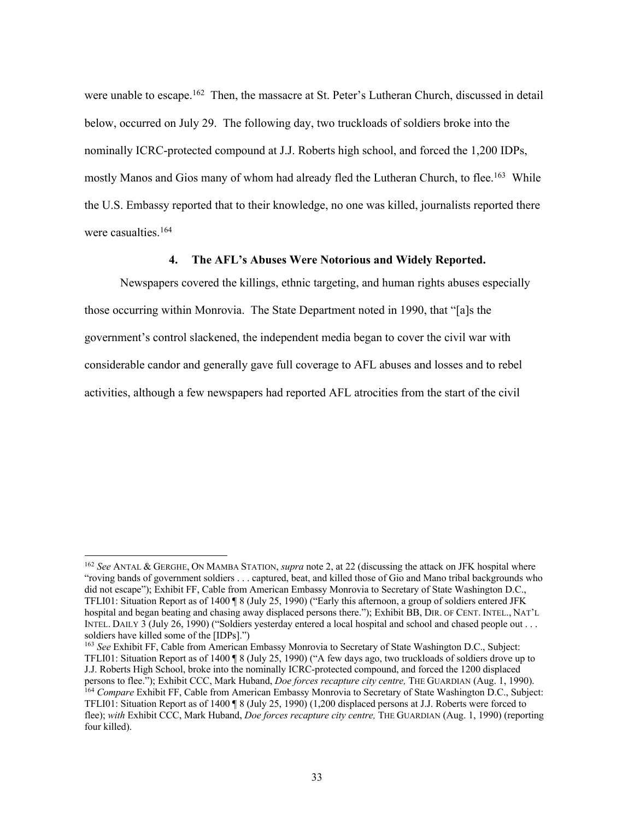were unable to escape.<sup>162</sup> Then, the massacre at St. Peter's Lutheran Church, discussed in detail below, occurred on July 29. The following day, two truckloads of soldiers broke into the nominally ICRC-protected compound at J.J. Roberts high school, and forced the 1,200 IDPs, mostly Manos and Gios many of whom had already fled the Lutheran Church, to flee.<sup>163</sup> While the U.S. Embassy reported that to their knowledge, no one was killed, journalists reported there were casualties. 164

### **4. The AFL's Abuses Were Notorious and Widely Reported.**

Newspapers covered the killings, ethnic targeting, and human rights abuses especially those occurring within Monrovia. The State Department noted in 1990, that "[a]s the government's control slackened, the independent media began to cover the civil war with considerable candor and generally gave full coverage to AFL abuses and losses and to rebel activities, although a few newspapers had reported AFL atrocities from the start of the civil

<sup>162</sup> *See* ANTAL & GERGHE, ON MAMBA STATION, *supra* note 2, at 22 (discussing the attack on JFK hospital where "roving bands of government soldiers . . . captured, beat, and killed those of Gio and Mano tribal backgrounds who did not escape"); Exhibit FF, Cable from American Embassy Monrovia to Secretary of State Washington D.C., TFLI01: Situation Report as of 1400 ¶ 8 (July 25, 1990) ("Early this afternoon, a group of soldiers entered JFK hospital and began beating and chasing away displaced persons there."); Exhibit BB, DIR. OF CENT. INTEL., NAT'L INTEL. DAILY 3 (July 26, 1990) ("Soldiers yesterday entered a local hospital and school and chased people out . . . soldiers have killed some of the [IDPs].")

<sup>163</sup> *See* Exhibit FF, Cable from American Embassy Monrovia to Secretary of State Washington D.C., Subject: TFLI01: Situation Report as of 1400 ¶ 8 (July 25, 1990) ("A few days ago, two truckloads of soldiers drove up to J.J. Roberts High School, broke into the nominally ICRC-protected compound, and forced the 1200 displaced persons to flee."); Exhibit CCC, Mark Huband, *Doe forces recapture city centre,* THE GUARDIAN (Aug. 1, 1990).

<sup>164</sup> *Compare* Exhibit FF, Cable from American Embassy Monrovia to Secretary of State Washington D.C., Subject: TFLI01: Situation Report as of 1400 ¶ 8 (July 25, 1990) (1,200 displaced persons at J.J. Roberts were forced to flee); *with* Exhibit CCC, Mark Huband, *Doe forces recapture city centre,* THE GUARDIAN (Aug. 1, 1990) (reporting four killed).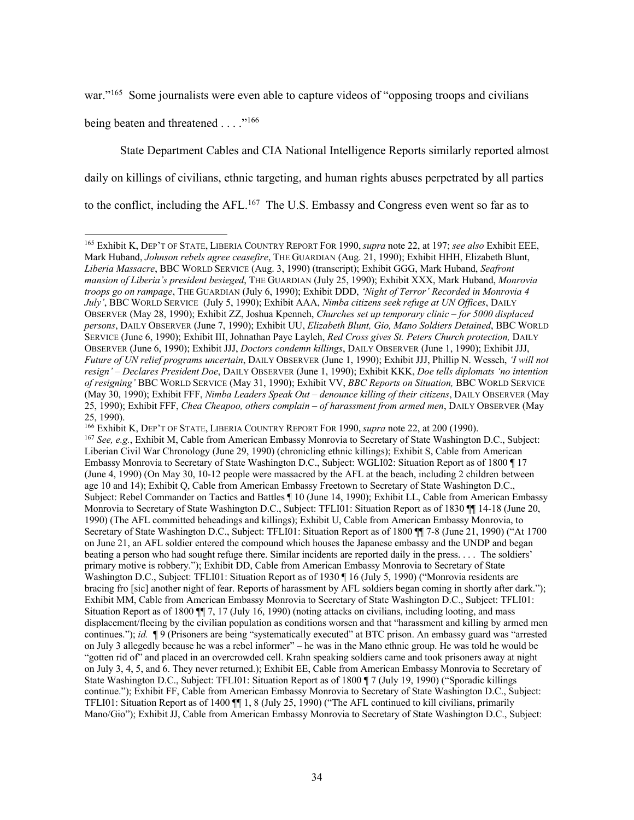war."<sup>165</sup> Some journalists were even able to capture videos of "opposing troops and civilians"

being beaten and threatened . . . . "<sup>166</sup>

State Department Cables and CIA National Intelligence Reports similarly reported almost daily on killings of civilians, ethnic targeting, and human rights abuses perpetrated by all parties to the conflict, including the  $AFL$ <sup>167</sup> The U.S. Embassy and Congress even went so far as to

<sup>166</sup> Exhibit K, DEP'T OF STATE, LIBERIA COUNTRY REPORT FOR 1990, *supra* note 22, at 200 (1990).

<sup>165</sup> Exhibit K, DEP'T OF STATE, LIBERIA COUNTRY REPORT FOR 1990, *supra* note 22, at 197; *see also* Exhibit EEE, Mark Huband, *Johnson rebels agree ceasefire*, THE GUARDIAN (Aug. 21, 1990); Exhibit HHH, Elizabeth Blunt, *Liberia Massacre*, BBC WORLD SERVICE (Aug. 3, 1990) (transcript); Exhibit GGG, Mark Huband, *Seafront mansion of Liberia's president besieged*, THE GUARDIAN (July 25, 1990); Exhibit XXX, Mark Huband, *Monrovia troops go on rampage*, THE GUARDIAN (July 6, 1990); Exhibit DDD, *'Night of Terror' Recorded in Monrovia 4 July'*, BBC WORLD SERVICE (July 5, 1990); Exhibit AAA, *Nimba citizens seek refuge at UN Offices*, DAILY OBSERVER (May 28, 1990); Exhibit ZZ, Joshua Kpenneh, *Churches set up temporary clinic – for 5000 displaced persons*, DAILY OBSERVER (June 7, 1990); Exhibit UU, *Elizabeth Blunt, Gio, Mano Soldiers Detained*, BBC WORLD SERVICE (June 6, 1990); Exhibit III, Johnathan Paye Layleh, *Red Cross gives St. Peters Church protection,* DAILY OBSERVER (June 6, 1990); Exhibit JJJ, *Doctors condemn killings*, DAILY OBSERVER (June 1, 1990); Exhibit JJJ, *Future of UN relief programs uncertain*, DAILY OBSERVER (June 1, 1990); Exhibit JJJ, Phillip N. Wesseh, *'I will not resign' – Declares President Doe*, DAILY OBSERVER (June 1, 1990); Exhibit KKK, *Doe tells diplomats 'no intention of resigning'* BBC WORLD SERVICE (May 31, 1990); Exhibit VV, *BBC Reports on Situation,* BBC WORLD SERVICE (May 30, 1990); Exhibit FFF, *Nimba Leaders Speak Out – denounce killing of their citizens*, DAILY OBSERVER (May 25, 1990); Exhibit FFF, *Chea Cheapoo, others complain – of harassment from armed men*, DAILY OBSERVER (May 25, 1990).

<sup>167</sup> *See, e.g.*, Exhibit M, Cable from American Embassy Monrovia to Secretary of State Washington D.C., Subject: Liberian Civil War Chronology (June 29, 1990) (chronicling ethnic killings); Exhibit S, Cable from American Embassy Monrovia to Secretary of State Washington D.C., Subject: WGLI02: Situation Report as of 1800 ¶ 17 (June 4, 1990) (On May 30, 10-12 people were massacred by the AFL at the beach, including 2 children between age 10 and 14); Exhibit Q, Cable from American Embassy Freetown to Secretary of State Washington D.C., Subject: Rebel Commander on Tactics and Battles ¶ 10 (June 14, 1990); Exhibit LL, Cable from American Embassy Monrovia to Secretary of State Washington D.C., Subject: TFLI01: Situation Report as of 1830 ¶¶ 14-18 (June 20, 1990) (The AFL committed beheadings and killings); Exhibit U, Cable from American Embassy Monrovia, to Secretary of State Washington D.C., Subject: TFLI01: Situation Report as of 1800 ¶¶ 7-8 (June 21, 1990) ("At 1700 on June 21, an AFL soldier entered the compound which houses the Japanese embassy and the UNDP and began beating a person who had sought refuge there. Similar incidents are reported daily in the press. . . . The soldiers' primary motive is robbery."); Exhibit DD, Cable from American Embassy Monrovia to Secretary of State Washington D.C., Subject: TFLI01: Situation Report as of 1930 ¶ 16 (July 5, 1990) ("Monrovia residents are bracing fro [sic] another night of fear. Reports of harassment by AFL soldiers began coming in shortly after dark."); Exhibit MM, Cable from American Embassy Monrovia to Secretary of State Washington D.C., Subject: TFLI01: Situation Report as of 1800 ¶¶ 7, 17 (July 16, 1990) (noting attacks on civilians, including looting, and mass displacement/fleeing by the civilian population as conditions worsen and that "harassment and killing by armed men continues."); *id.* ¶ 9 (Prisoners are being "systematically executed" at BTC prison. An embassy guard was "arrested on July 3 allegedly because he was a rebel informer" – he was in the Mano ethnic group. He was told he would be "gotten rid of" and placed in an overcrowded cell. Krahn speaking soldiers came and took prisoners away at night on July 3, 4, 5, and 6. They never returned.); Exhibit EE, Cable from American Embassy Monrovia to Secretary of State Washington D.C., Subject: TFLI01: Situation Report as of 1800 ¶ 7 (July 19, 1990) ("Sporadic killings") continue."); Exhibit FF, Cable from American Embassy Monrovia to Secretary of State Washington D.C., Subject: TFLI01: Situation Report as of 1400 ¶¶ 1, 8 (July 25, 1990) ("The AFL continued to kill civilians, primarily Mano/Gio"); Exhibit JJ, Cable from American Embassy Monrovia to Secretary of State Washington D.C., Subject: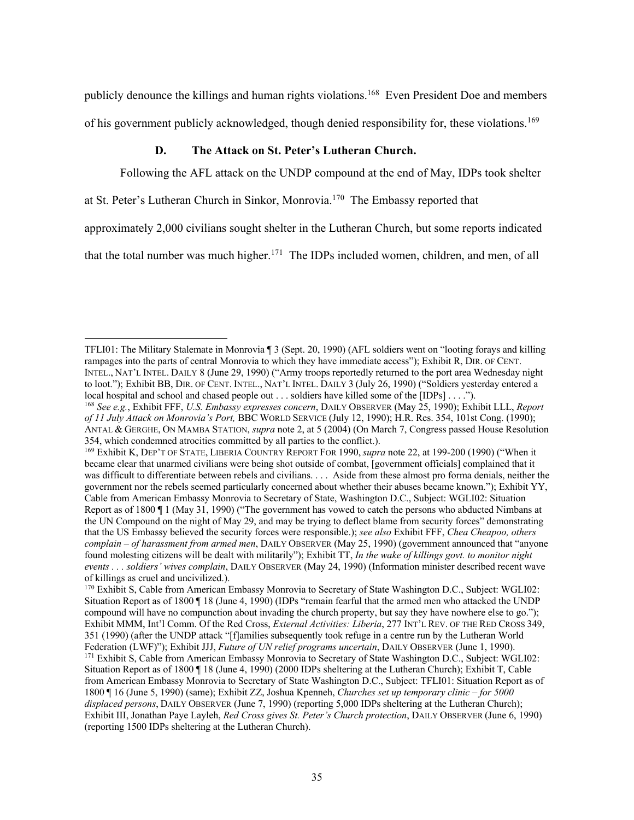publicly denounce the killings and human rights violations. <sup>168</sup> Even President Doe and members of his government publicly acknowledged, though denied responsibility for, these violations.<sup>169</sup>

### **D. The Attack on St. Peter's Lutheran Church.**

Following the AFL attack on the UNDP compound at the end of May, IDPs took shelter

at St. Peter's Lutheran Church in Sinkor, Monrovia.<sup>170</sup> The Embassy reported that

approximately 2,000 civilians sought shelter in the Lutheran Church, but some reports indicated

that the total number was much higher.<sup>171</sup> The IDPs included women, children, and men, of all

TFLI01: The Military Stalemate in Monrovia ¶ 3 (Sept. 20, 1990) (AFL soldiers went on "looting forays and killing rampages into the parts of central Monrovia to which they have immediate access"); Exhibit R, DIR. OF CENT. INTEL., NAT'L INTEL. DAILY 8 (June 29, 1990) ("Army troops reportedly returned to the port area Wednesday night to loot."); Exhibit BB, DIR. OF CENT. INTEL., NAT'L INTEL. DAILY 3 (July 26, 1990) ("Soldiers yesterday entered a local hospital and school and chased people out . . . soldiers have killed some of the [IDPs] . . . .").

<sup>168</sup> *See e.g.*, Exhibit FFF, *U.S. Embassy expresses concern*, DAILY OBSERVER (May 25, 1990); Exhibit LLL, *Report of 11 July Attack on Monrovia's Port,* BBC WORLD SERVICE (July 12, 1990); H.R. Res. 354, 101st Cong. (1990); ANTAL & GERGHE, ON MAMBA STATION, *supra* note 2, at 5 (2004) (On March 7, Congress passed House Resolution 354, which condemned atrocities committed by all parties to the conflict.).

<sup>169</sup> Exhibit K, DEP'T OF STATE, LIBERIA COUNTRY REPORT FOR 1990, *supra* note 22, at 199-200 (1990) ("When it became clear that unarmed civilians were being shot outside of combat, [government officials] complained that it was difficult to differentiate between rebels and civilians. . . . Aside from these almost pro forma denials, neither the government nor the rebels seemed particularly concerned about whether their abuses became known."); Exhibit YY, Cable from American Embassy Monrovia to Secretary of State, Washington D.C., Subject: WGLI02: Situation Report as of 1800 ¶ 1 (May 31, 1990) ("The government has vowed to catch the persons who abducted Nimbans at the UN Compound on the night of May 29, and may be trying to deflect blame from security forces" demonstrating that the US Embassy believed the security forces were responsible.); *see also* Exhibit FFF, *Chea Cheapoo, others complain – of harassment from armed men*, DAILY OBSERVER (May 25, 1990) (government announced that "anyone found molesting citizens will be dealt with militarily"); Exhibit TT, *In the wake of killings govt. to monitor night events . . . soldiers' wives complain*, DAILY OBSERVER (May 24, 1990) (Information minister described recent wave of killings as cruel and uncivilized.).

<sup>170</sup> Exhibit S, Cable from American Embassy Monrovia to Secretary of State Washington D.C., Subject: WGLI02: Situation Report as of 1800 ¶ 18 (June 4, 1990) (IDPs "remain fearful that the armed men who attacked the UNDP compound will have no compunction about invading the church property, but say they have nowhere else to go."); Exhibit MMM, Int'l Comm. Of the Red Cross, *External Activities: Liberia*, 277 INT'L REV. OF THE RED CROSS 349, 351 (1990) (after the UNDP attack "[f]amilies subsequently took refuge in a centre run by the Lutheran World Federation (LWF)"); Exhibit JJJ, *Future of UN relief programs uncertain*, DAILY OBSERVER (June 1, 1990).

<sup>&</sup>lt;sup>171</sup> Exhibit S, Cable from American Embassy Monrovia to Secretary of State Washington D.C., Subject: WGLI02: Situation Report as of 1800 ¶ 18 (June 4, 1990) (2000 IDPs sheltering at the Lutheran Church); Exhibit T, Cable from American Embassy Monrovia to Secretary of State Washington D.C., Subject: TFLI01: Situation Report as of 1800 ¶ 16 (June 5, 1990) (same); Exhibit ZZ, Joshua Kpenneh, *Churches set up temporary clinic – for 5000 displaced persons*, DAILY OBSERVER (June 7, 1990) (reporting 5,000 IDPs sheltering at the Lutheran Church); Exhibit III, Jonathan Paye Layleh, *Red Cross gives St. Peter's Church protection*, DAILY OBSERVER (June 6, 1990) (reporting 1500 IDPs sheltering at the Lutheran Church).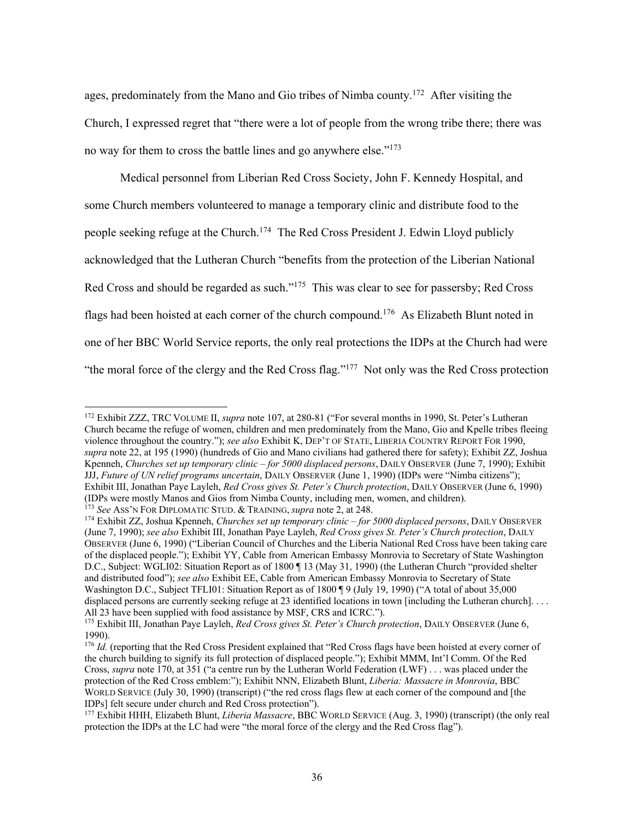ages, predominately from the Mano and Gio tribes of Nimba county.<sup>172</sup> After visiting the Church, I expressed regret that "there were a lot of people from the wrong tribe there; there was no way for them to cross the battle lines and go anywhere else."<sup>173</sup>

Medical personnel from Liberian Red Cross Society, John F. Kennedy Hospital, and some Church members volunteered to manage a temporary clinic and distribute food to the people seeking refuge at the Church.<sup>174</sup> The Red Cross President J. Edwin Lloyd publicly acknowledged that the Lutheran Church "benefits from the protection of the Liberian National Red Cross and should be regarded as such."<sup>175</sup> This was clear to see for passersby; Red Cross flags had been hoisted at each corner of the church compound.<sup>176</sup> As Elizabeth Blunt noted in one of her BBC World Service reports, the only real protections the IDPs at the Church had were "the moral force of the clergy and the Red Cross flag."<sup>177</sup> Not only was the Red Cross protection

<sup>172</sup> Exhibit ZZZ, TRC VOLUME II, *supra* note 107, at 280-81 ("For several months in 1990, St. Peter's Lutheran Church became the refuge of women, children and men predominately from the Mano, Gio and Kpelle tribes fleeing violence throughout the country."); *see also* Exhibit K, DEP'T OF STATE, LIBERIA COUNTRY REPORT FOR 1990, *supra* note 22, at 195 (1990) (hundreds of Gio and Mano civilians had gathered there for safety); Exhibit ZZ, Joshua Kpenneh, *Churches set up temporary clinic – for 5000 displaced persons*, DAILY OBSERVER (June 7, 1990); Exhibit JJJ, *Future of UN relief programs uncertain*, DAILY OBSERVER (June 1, 1990) (IDPs were "Nimba citizens"); Exhibit III, Jonathan Paye Layleh, *Red Cross gives St. Peter's Church protection*, DAILY OBSERVER (June 6, 1990) (IDPs were mostly Manos and Gios from Nimba County, including men, women, and children). <sup>173</sup> *See* ASS'N FOR DIPLOMATIC STUD. & TRAINING, *supra* note 2, at 248.

<sup>174</sup> Exhibit ZZ, Joshua Kpenneh, *Churches set up temporary clinic – for 5000 displaced persons*, DAILY OBSERVER (June 7, 1990); *see also* Exhibit III, Jonathan Paye Layleh, *Red Cross gives St. Peter's Church protection*, DAILY OBSERVER (June 6, 1990) ("Liberian Council of Churches and the Liberia National Red Cross have been taking care of the displaced people."); Exhibit YY, Cable from American Embassy Monrovia to Secretary of State Washington D.C., Subject: WGLI02: Situation Report as of 1800 ¶ 13 (May 31, 1990) (the Lutheran Church "provided shelter and distributed food"); *see also* Exhibit EE, Cable from American Embassy Monrovia to Secretary of State Washington D.C., Subject TFLI01: Situation Report as of 1800 ¶ 9 (July 19, 1990) ("A total of about 35,000 displaced persons are currently seeking refuge at 23 identified locations in town [including the Lutheran church].... All 23 have been supplied with food assistance by MSF, CRS and ICRC.").

<sup>175</sup> Exhibit III, Jonathan Paye Layleh, *Red Cross gives St. Peter's Church protection*, DAILY OBSERVER (June 6, 1990).

<sup>&</sup>lt;sup>176</sup> *Id.* (reporting that the Red Cross President explained that "Red Cross flags have been hoisted at every corner of the church building to signify its full protection of displaced people."); Exhibit MMM, Int'l Comm. Of the Red Cross, *supra* note 170, at 351 ("a centre run by the Lutheran World Federation (LWF) . . . was placed under the protection of the Red Cross emblem:"); Exhibit NNN, Elizabeth Blunt, *Liberia: Massacre in Monrovia*, BBC WORLD SERVICE (July 30, 1990) (transcript) ("the red cross flags flew at each corner of the compound and [the IDPs] felt secure under church and Red Cross protection").

<sup>177</sup> Exhibit HHH, Elizabeth Blunt, *Liberia Massacre*, BBC WORLD SERVICE (Aug. 3, 1990) (transcript) (the only real protection the IDPs at the LC had were "the moral force of the clergy and the Red Cross flag").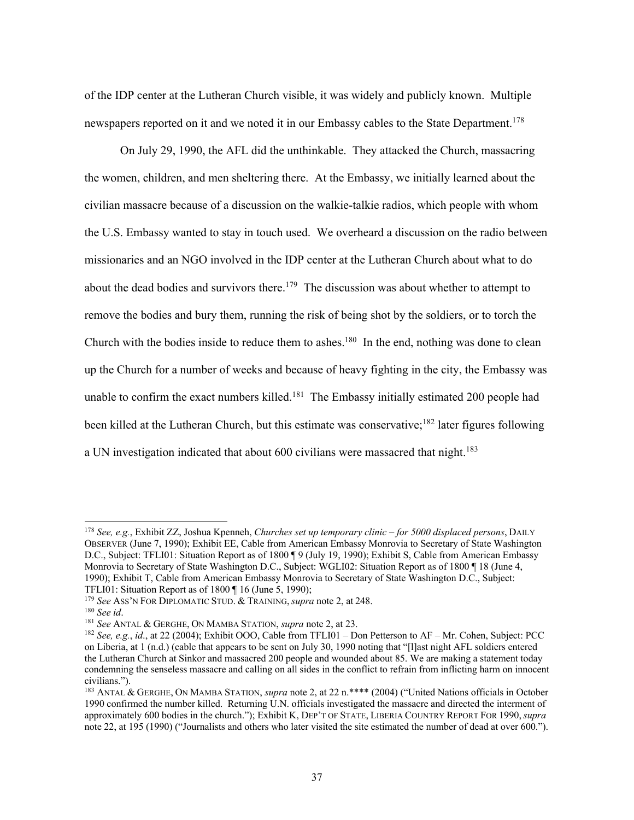of the IDP center at the Lutheran Church visible, it was widely and publicly known. Multiple newspapers reported on it and we noted it in our Embassy cables to the State Department.<sup>178</sup>

On July 29, 1990, the AFL did the unthinkable. They attacked the Church, massacring the women, children, and men sheltering there. At the Embassy, we initially learned about the civilian massacre because of a discussion on the walkie-talkie radios, which people with whom the U.S. Embassy wanted to stay in touch used. We overheard a discussion on the radio between missionaries and an NGO involved in the IDP center at the Lutheran Church about what to do about the dead bodies and survivors there.<sup>179</sup> The discussion was about whether to attempt to remove the bodies and bury them, running the risk of being shot by the soldiers, or to torch the Church with the bodies inside to reduce them to ashes.<sup>180</sup> In the end, nothing was done to clean up the Church for a number of weeks and because of heavy fighting in the city, the Embassy was unable to confirm the exact numbers killed.<sup>181</sup> The Embassy initially estimated 200 people had been killed at the Lutheran Church, but this estimate was conservative;<sup>182</sup> later figures following a UN investigation indicated that about 600 civilians were massacred that night.<sup>183</sup>

<sup>178</sup> *See, e.g.*, Exhibit ZZ, Joshua Kpenneh, *Churches set up temporary clinic – for 5000 displaced persons*, DAILY OBSERVER (June 7, 1990); Exhibit EE, Cable from American Embassy Monrovia to Secretary of State Washington D.C., Subject: TFLI01: Situation Report as of 1800 ¶ 9 (July 19, 1990); Exhibit S, Cable from American Embassy Monrovia to Secretary of State Washington D.C., Subject: WGLI02: Situation Report as of 1800 ¶ 18 (June 4, 1990); Exhibit T, Cable from American Embassy Monrovia to Secretary of State Washington D.C., Subject: TFLI01: Situation Report as of 1800 ¶ 16 (June 5, 1990);

<sup>179</sup> *See* ASS'N FOR DIPLOMATIC STUD. & TRAINING, *supra* note 2, at 248.

<sup>180</sup> *See id*.

<sup>181</sup> *See* ANTAL & GERGHE, ON MAMBA STATION, *supra* note 2, at 23.

<sup>182</sup> *See, e.g.*, *id*., at 22 (2004); Exhibit OOO, Cable from TFLI01 – Don Petterson to AF – Mr. Cohen, Subject: PCC on Liberia, at 1 (n.d.) (cable that appears to be sent on July 30, 1990 noting that "[l]ast night AFL soldiers entered the Lutheran Church at Sinkor and massacred 200 people and wounded about 85. We are making a statement today condemning the senseless massacre and calling on all sides in the conflict to refrain from inflicting harm on innocent civilians.").

<sup>183</sup> ANTAL & GERGHE, ON MAMBA STATION, *supra* note 2, at 22 n.\*\*\*\* (2004) ("United Nations officials in October 1990 confirmed the number killed. Returning U.N. officials investigated the massacre and directed the interment of approximately 600 bodies in the church."); Exhibit K, DEP'T OF STATE, LIBERIA COUNTRY REPORT FOR 1990, *supra* note 22, at 195 (1990) ("Journalists and others who later visited the site estimated the number of dead at over 600.").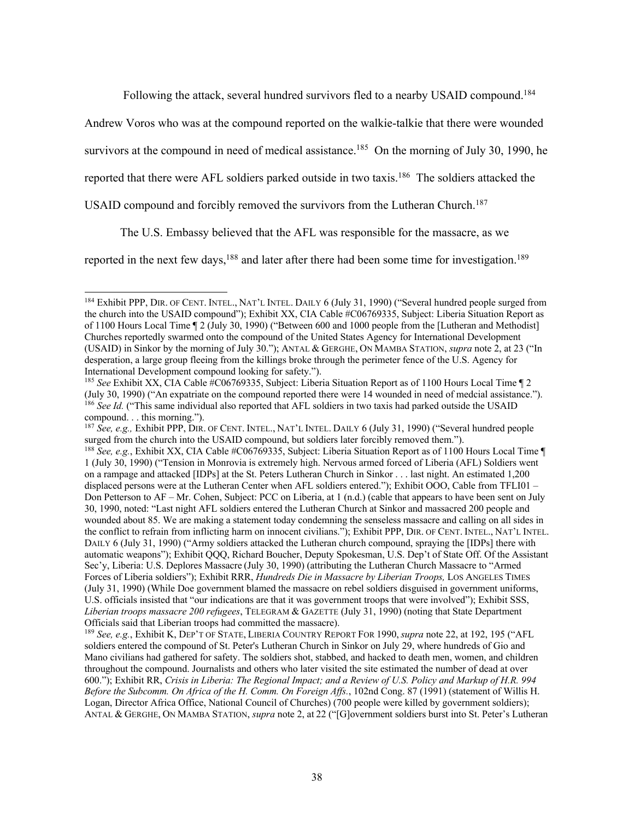Following the attack, several hundred survivors fled to a nearby USAID compound.<sup>184</sup>

Andrew Voros who was at the compound reported on the walkie-talkie that there were wounded

survivors at the compound in need of medical assistance.<sup>185</sup> On the morning of July 30, 1990, he

reported that there were AFL soldiers parked outside in two taxis.<sup>186</sup> The soldiers attacked the

USAID compound and forcibly removed the survivors from the Lutheran Church.<sup>187</sup>

The U.S. Embassy believed that the AFL was responsible for the massacre, as we

reported in the next few days,<sup>188</sup> and later after there had been some time for investigation.<sup>189</sup>

<sup>&</sup>lt;sup>184</sup> Exhibit PPP, DIR. OF CENT. INTEL., NAT'L INTEL. DAILY 6 (July 31, 1990) ("Several hundred people surged from the church into the USAID compound"); Exhibit XX, CIA Cable #C06769335, Subject: Liberia Situation Report as of 1100 Hours Local Time ¶ 2 (July 30, 1990) ("Between 600 and 1000 people from the [Lutheran and Methodist] Churches reportedly swarmed onto the compound of the United States Agency for International Development (USAID) in Sinkor by the morning of July 30."); ANTAL & GERGHE, ON MAMBA STATION, *supra* note 2, at 23 ("In desperation, a large group fleeing from the killings broke through the perimeter fence of the U.S. Agency for International Development compound looking for safety.").

<sup>&</sup>lt;sup>185</sup> See Exhibit XX, CIA Cable  $\hat{\#}C06769335$ , Subject: Liberia Situation Report as of 1100 Hours Local Time ¶ 2 (July 30, 1990) ("An expatriate on the compound reported there were 14 wounded in need of medcial assistance."). <sup>186</sup> See Id. ("This same individual also reported that AFL soldiers in two taxis had parked outside the USAID compound. . . this morning.").

<sup>187</sup> *See, e.g.,* Exhibit PPP, DIR. OF CENT. INTEL., NAT'L INTEL. DAILY 6 (July 31, 1990) ("Several hundred people surged from the church into the USAID compound, but soldiers later forcibly removed them.").

<sup>188</sup> *See, e.g.*, Exhibit XX, CIA Cable #C06769335, Subject: Liberia Situation Report as of 1100 Hours Local Time ¶ 1 (July 30, 1990) ("Tension in Monrovia is extremely high. Nervous armed forced of Liberia (AFL) Soldiers went on a rampage and attacked [IDPs] at the St. Peters Lutheran Church in Sinkor . . . last night. An estimated 1,200 displaced persons were at the Lutheran Center when AFL soldiers entered."); Exhibit OOO, Cable from TFLI01 – Don Petterson to AF – Mr. Cohen, Subject: PCC on Liberia, at 1 (n.d.) (cable that appears to have been sent on July 30, 1990, noted: "Last night AFL soldiers entered the Lutheran Church at Sinkor and massacred 200 people and wounded about 85. We are making a statement today condemning the senseless massacre and calling on all sides in the conflict to refrain from inflicting harm on innocent civilians."); Exhibit PPP, DIR. OF CENT. INTEL., NAT'L INTEL. DAILY 6 (July 31, 1990) ("Army soldiers attacked the Lutheran church compound, spraying the [IDPs] there with automatic weapons"); Exhibit QQQ, Richard Boucher, Deputy Spokesman, U.S. Dep't of State Off. Of the Assistant Sec'y, Liberia: U.S. Deplores Massacre (July 30, 1990) (attributing the Lutheran Church Massacre to "Armed" Forces of Liberia soldiers"); Exhibit RRR, *Hundreds Die in Massacre by Liberian Troops,* LOS ANGELES TIMES (July 31, 1990) (While Doe government blamed the massacre on rebel soldiers disguised in government uniforms, U.S. officials insisted that "our indications are that it was government troops that were involved"); Exhibit SSS, *Liberian troops massacre 200 refugees*, TELEGRAM & GAZETTE (July 31, 1990) (noting that State Department Officials said that Liberian troops had committed the massacre).

<sup>189</sup> *See, e.g.*, Exhibit K, DEP'T OF STATE, LIBERIA COUNTRY REPORT FOR 1990, *supra* note 22, at 192, 195 ("AFL soldiers entered the compound of St. Peter's Lutheran Church in Sinkor on July 29, where hundreds of Gio and Mano civilians had gathered for safety. The soldiers shot, stabbed, and hacked to death men, women, and children throughout the compound. Journalists and others who later visited the site estimated the number of dead at over 600."); Exhibit RR, *Crisis in Liberia: The Regional Impact; and a Review of U.S. Policy and Markup of H.R. 994 Before the Subcomm. On Africa of the H. Comm. On Foreign Affs.*, 102nd Cong. 87 (1991) (statement of Willis H. Logan, Director Africa Office, National Council of Churches) (700 people were killed by government soldiers); ANTAL & GERGHE, ON MAMBA STATION, *supra* note 2, at 22 ("[G]overnment soldiers burst into St. Peter's Lutheran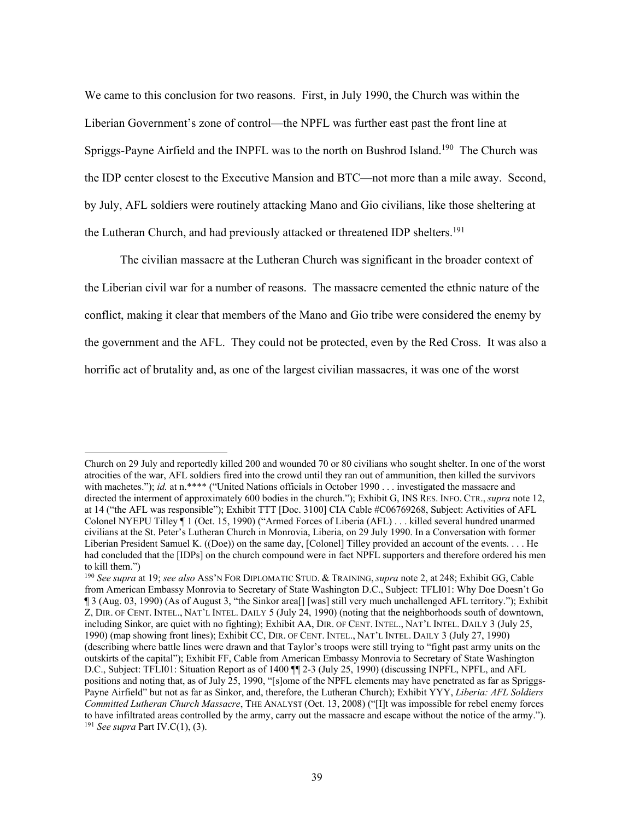We came to this conclusion for two reasons. First, in July 1990, the Church was within the Liberian Government's zone of control—the NPFL was further east past the front line at Spriggs-Payne Airfield and the INPFL was to the north on Bushrod Island.<sup>190</sup> The Church was the IDP center closest to the Executive Mansion and BTC—not more than a mile away. Second, by July, AFL soldiers were routinely attacking Mano and Gio civilians, like those sheltering at the Lutheran Church, and had previously attacked or threatened IDP shelters. 191

The civilian massacre at the Lutheran Church was significant in the broader context of the Liberian civil war for a number of reasons. The massacre cemented the ethnic nature of the conflict, making it clear that members of the Mano and Gio tribe were considered the enemy by the government and the AFL. They could not be protected, even by the Red Cross. It was also a horrific act of brutality and, as one of the largest civilian massacres, it was one of the worst

Church on 29 July and reportedly killed 200 and wounded 70 or 80 civilians who sought shelter. In one of the worst atrocities of the war, AFL soldiers fired into the crowd until they ran out of ammunition, then killed the survivors with machetes."); *id.* at n.\*\*\*\* ("United Nations officials in October 1990 . . . investigated the massacre and directed the interment of approximately 600 bodies in the church."); Exhibit G, INS RES. INFO. CTR., *supra* note 12, at 14 ("the AFL was responsible"); Exhibit TTT [Doc. 3100] CIA Cable #C06769268, Subject: Activities of AFL Colonel NYEPU Tilley ¶ 1 (Oct. 15, 1990) ("Armed Forces of Liberia (AFL) . . . killed several hundred unarmed civilians at the St. Peter's Lutheran Church in Monrovia, Liberia, on 29 July 1990. In a Conversation with former Liberian President Samuel K. ((Doe)) on the same day, [Colonel] Tilley provided an account of the events. . . . He had concluded that the [IDPs] on the church compound were in fact NPFL supporters and therefore ordered his men to kill them.")

<sup>190</sup> *See supra* at 19; *see also* ASS'N FOR DIPLOMATIC STUD. & TRAINING, *supra* note 2, at 248; Exhibit GG, Cable from American Embassy Monrovia to Secretary of State Washington D.C., Subject: TFLI01: Why Doe Doesn't Go ¶ 3 (Aug. 03, 1990) (As of August 3, "the Sinkor area[] [was] still very much unchallenged AFL territory."); Exhibit Z, DIR. OF CENT. INTEL., NAT'L INTEL. DAILY 5 (July 24, 1990) (noting that the neighborhoods south of downtown, including Sinkor, are quiet with no fighting); Exhibit AA, DIR. OF CENT. INTEL., NAT'L INTEL. DAILY 3 (July 25, 1990) (map showing front lines); Exhibit CC, DIR. OF CENT. INTEL., NAT'L INTEL. DAILY 3 (July 27, 1990) (describing where battle lines were drawn and that Taylor's troops were still trying to "fight past army units on the outskirts of the capital"); Exhibit FF, Cable from American Embassy Monrovia to Secretary of State Washington D.C., Subject: TFLI01: Situation Report as of 1400 ¶¶ 2-3 (July 25, 1990) (discussing INPFL, NPFL, and AFL positions and noting that, as of July 25, 1990, "[s]ome of the NPFL elements may have penetrated as far as Spriggs-Payne Airfield" but not as far as Sinkor, and, therefore, the Lutheran Church); Exhibit YYY, *Liberia: AFL Soldiers Committed Lutheran Church Massacre*, THE ANALYST (Oct. 13, 2008) ("[I]t was impossible for rebel enemy forces to have infiltrated areas controlled by the army, carry out the massacre and escape without the notice of the army."). <sup>191</sup> *See supra* Part IV.C(1), (3).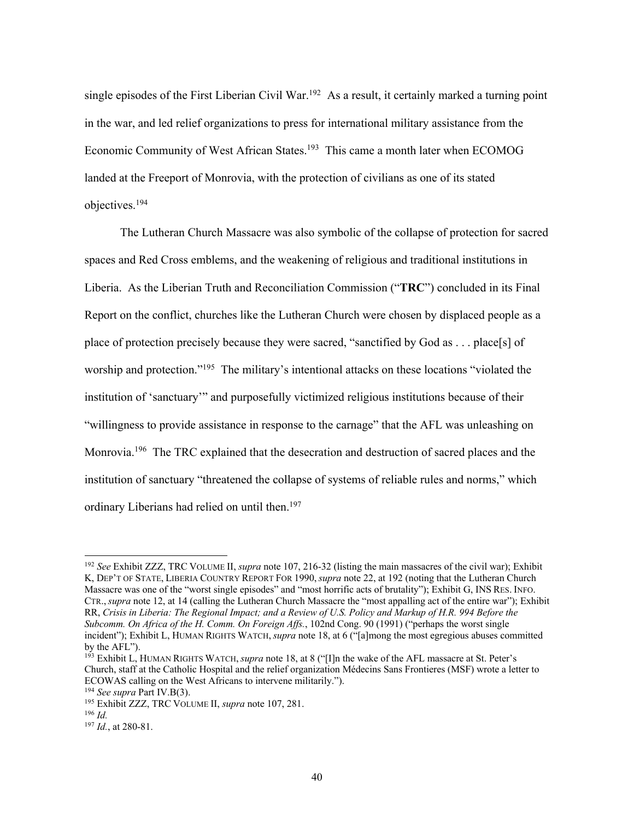single episodes of the First Liberian Civil War.<sup>192</sup> As a result, it certainly marked a turning point in the war, and led relief organizations to press for international military assistance from the Economic Community of West African States.<sup>193</sup> This came a month later when ECOMOG landed at the Freeport of Monrovia, with the protection of civilians as one of its stated objectives. 194

The Lutheran Church Massacre was also symbolic of the collapse of protection for sacred spaces and Red Cross emblems, and the weakening of religious and traditional institutions in Liberia. As the Liberian Truth and Reconciliation Commission ("**TRC**") concluded in its Final Report on the conflict, churches like the Lutheran Church were chosen by displaced people as a place of protection precisely because they were sacred, "sanctified by God as . . . place[s] of worship and protection."<sup>195</sup> The military's intentional attacks on these locations "violated the institution of 'sanctuary'" and purposefully victimized religious institutions because of their "willingness to provide assistance in response to the carnage" that the AFL was unleashing on Monrovia.<sup>196</sup> The TRC explained that the desecration and destruction of sacred places and the institution of sanctuary "threatened the collapse of systems of reliable rules and norms," which ordinary Liberians had relied on until then.<sup>197</sup>

<sup>192</sup> *See* Exhibit ZZZ, TRC VOLUME II, *supra* note 107, 216-32 (listing the main massacres of the civil war); Exhibit K, DEP'T OF STATE, LIBERIA COUNTRY REPORT FOR 1990, *supra* note 22, at 192 (noting that the Lutheran Church Massacre was one of the "worst single episodes" and "most horrific acts of brutality"); Exhibit G, INS RES. INFO. CTR., *supra* note 12, at 14 (calling the Lutheran Church Massacre the "most appalling act of the entire war"); Exhibit RR, *Crisis in Liberia: The Regional Impact; and a Review of U.S. Policy and Markup of H.R. 994 Before the Subcomm. On Africa of the H. Comm. On Foreign Affs.*, 102nd Cong. 90 (1991) ("perhaps the worst single incident"); Exhibit L, HUMAN RIGHTS WATCH, *supra* note 18, at 6 ("[a]mong the most egregious abuses committed by the AFL").

<sup>193</sup> Exhibit L, HUMAN RIGHTS WATCH, *supra* note 18, at 8 ("[I]n the wake of the AFL massacre at St. Peter's Church, staff at the Catholic Hospital and the relief organization Médecins Sans Frontieres (MSF) wrote a letter to ECOWAS calling on the West Africans to intervene militarily.").

<sup>194</sup> *See supra* Part IV.B(3).

<sup>195</sup> Exhibit ZZZ, TRC VOLUME II, *supra* note 107, 281.

<sup>196</sup> *Id.*

<sup>197</sup> *Id.*, at 280-81.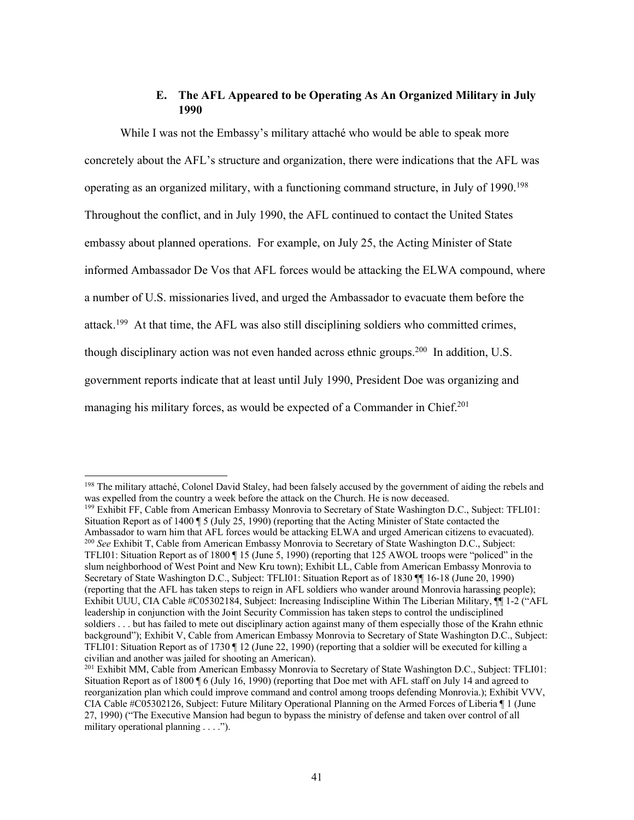## **E. The AFL Appeared to be Operating As An Organized Military in July 1990**

While I was not the Embassy's military attaché who would be able to speak more concretely about the AFL's structure and organization, there were indications that the AFL was operating as an organized military, with a functioning command structure, in July of 1990.<sup>198</sup> Throughout the conflict, and in July 1990, the AFL continued to contact the United States embassy about planned operations. For example, on July 25, the Acting Minister of State informed Ambassador De Vos that AFL forces would be attacking the ELWA compound, where a number of U.S. missionaries lived, and urged the Ambassador to evacuate them before the attack.<sup>199</sup> At that time, the AFL was also still disciplining soldiers who committed crimes, though disciplinary action was not even handed across ethnic groups.<sup>200</sup> In addition, U.S. government reports indicate that at least until July 1990, President Doe was organizing and managing his military forces, as would be expected of a Commander in Chief.<sup>201</sup>

<sup>199</sup> Exhibit FF, Cable from American Embassy Monrovia to Secretary of State Washington D.C., Subject: TFLI01: Situation Report as of 1400 ¶ 5 (July 25, 1990) (reporting that the Acting Minister of State contacted the Ambassador to warn him that AFL forces would be attacking ELWA and urged American citizens to evacuated). <sup>200</sup> *See* Exhibit T, Cable from American Embassy Monrovia to Secretary of State Washington D.C., Subject: TFLI01: Situation Report as of 1800 ¶ 15 (June 5, 1990) (reporting that 125 AWOL troops were "policed" in the slum neighborhood of West Point and New Kru town); Exhibit LL, Cable from American Embassy Monrovia to Secretary of State Washington D.C., Subject: TFLI01: Situation Report as of 1830 ¶¶ 16-18 (June 20, 1990) (reporting that the AFL has taken steps to reign in AFL soldiers who wander around Monrovia harassing people); Exhibit UUU, CIA Cable #C05302184, Subject: Increasing Indiscipline Within The Liberian Military, ¶¶ 1-2 ("AFL leadership in conjunction with the Joint Security Commission has taken steps to control the undisciplined soldiers . . . but has failed to mete out disciplinary action against many of them especially those of the Krahn ethnic background"); Exhibit V, Cable from American Embassy Monrovia to Secretary of State Washington D.C., Subject: TFLI01: Situation Report as of 1730 ¶ 12 (June 22, 1990) (reporting that a soldier will be executed for killing a civilian and another was jailed for shooting an American).

<sup>&</sup>lt;sup>198</sup> The military attaché, Colonel David Staley, had been falsely accused by the government of aiding the rebels and was expelled from the country a week before the attack on the Church. He is now deceased.

<sup>&</sup>lt;sup>201</sup> Exhibit MM, Cable from American Embassy Monrovia to Secretary of State Washington D.C., Subject: TFLI01: Situation Report as of 1800 ¶ 6 (July 16, 1990) (reporting that Doe met with AFL staff on July 14 and agreed to reorganization plan which could improve command and control among troops defending Monrovia.); Exhibit VVV, CIA Cable #C05302126, Subject: Future Military Operational Planning on the Armed Forces of Liberia ¶ 1 (June 27, 1990) ("The Executive Mansion had begun to bypass the ministry of defense and taken over control of all military operational planning . . . .").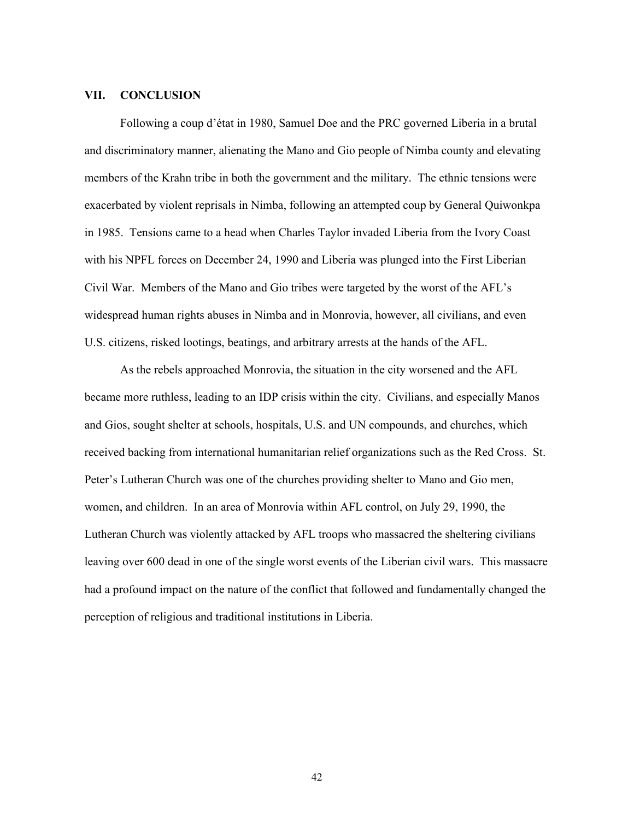### **VII. CONCLUSION**

Following a coup d'état in 1980, Samuel Doe and the PRC governed Liberia in a brutal and discriminatory manner, alienating the Mano and Gio people of Nimba county and elevating members of the Krahn tribe in both the government and the military. The ethnic tensions were exacerbated by violent reprisals in Nimba, following an attempted coup by General Quiwonkpa in 1985. Tensions came to a head when Charles Taylor invaded Liberia from the Ivory Coast with his NPFL forces on December 24, 1990 and Liberia was plunged into the First Liberian Civil War. Members of the Mano and Gio tribes were targeted by the worst of the AFL's widespread human rights abuses in Nimba and in Monrovia, however, all civilians, and even U.S. citizens, risked lootings, beatings, and arbitrary arrests at the hands of the AFL.

As the rebels approached Monrovia, the situation in the city worsened and the AFL became more ruthless, leading to an IDP crisis within the city. Civilians, and especially Manos and Gios, sought shelter at schools, hospitals, U.S. and UN compounds, and churches, which received backing from international humanitarian relief organizations such as the Red Cross. St. Peter's Lutheran Church was one of the churches providing shelter to Mano and Gio men, women, and children. In an area of Monrovia within AFL control, on July 29, 1990, the Lutheran Church was violently attacked by AFL troops who massacred the sheltering civilians leaving over 600 dead in one of the single worst events of the Liberian civil wars. This massacre had a profound impact on the nature of the conflict that followed and fundamentally changed the perception of religious and traditional institutions in Liberia.